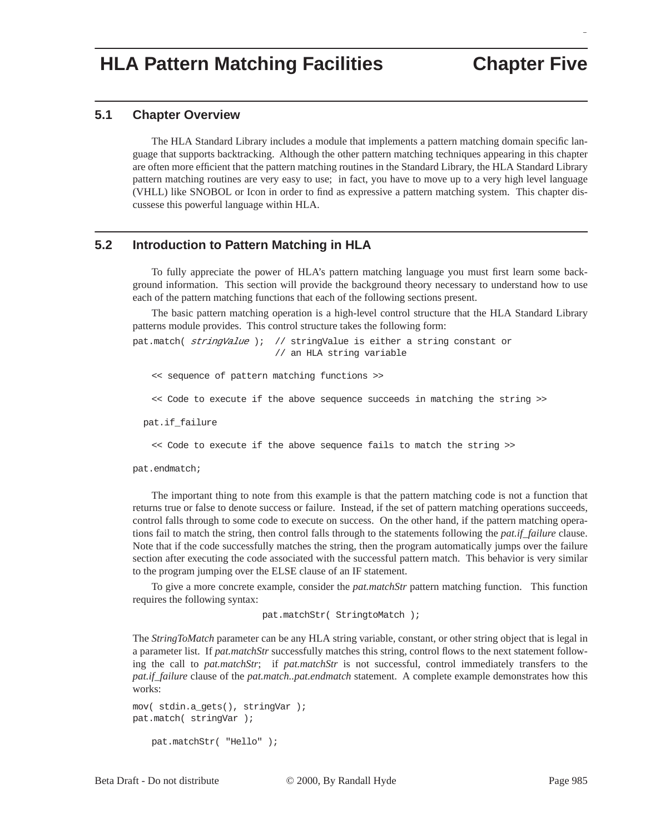# **HLA Pattern Matching Facilities Chapter Five**

g

#### **5.1 Chapter Overview**

The HLA Standard Library includes a module that implements a pattern matching domain specific language that supports backtracking. Although the other pattern matching techniques appearing in this chapter are often more efficient that the pattern matching routines in the Standard Library, the HLA Standard Library pattern matching routines are very easy to use; in fact, you have to move up to a very high level language (VHLL) like SNOBOL or Icon in order to find as expressive a pattern matching system. This chapter discussese this powerful language within HLA.

## **5.2 Introduction to Pattern Matching in HLA**

To fully appreciate the power of HLA's pattern matching language you must first learn some background information. This section will provide the background theory necessary to understand how to use each of the pattern matching functions that each of the following sections present.

The basic pattern matching operation is a high-level control structure that the HLA Standard Library patterns module provides. This control structure takes the following form:

pat.match( stringValue ); // stringValue is either a string constant or // an HLA string variable

<< sequence of pattern matching functions >>

<< Code to execute if the above sequence succeeds in matching the string >>

pat.if\_failure

<< Code to execute if the above sequence fails to match the string >>

pat.endmatch;

The important thing to note from this example is that the pattern matching code is not a function that returns true or false to denote success or failure. Instead, if the set of pattern matching operations succeeds, control falls through to some code to execute on success. On the other hand, if the pattern matching operations fail to match the string, then control falls through to the statements following the *pat.if\_failure* clause. Note that if the code successfully matches the string, then the program automatically jumps over the failure section after executing the code associated with the successful pattern match. This behavior is very similar to the program jumping over the ELSE clause of an IF statement.

To give a more concrete example, consider the *pat.matchStr* pattern matching function. This function requires the following syntax:

pat.matchStr( StringtoMatch );

The *StringToMatch* parameter can be any HLA string variable, constant, or other string object that is legal in a parameter list. If *pat.matchStr* successfully matches this string, control flows to the next statement following the call to *pat.matchStr*; if *pat.matchStr* is not successful, control immediately transfers to the *pat.if\_failure* clause of the *pat.match..pat.endmatch* statement. A complete example demonstrates how this works:

```
mov( stdin.a_gets(), stringVar );
pat.match( stringVar );
```

```
pat.matchStr( "Hello" );
```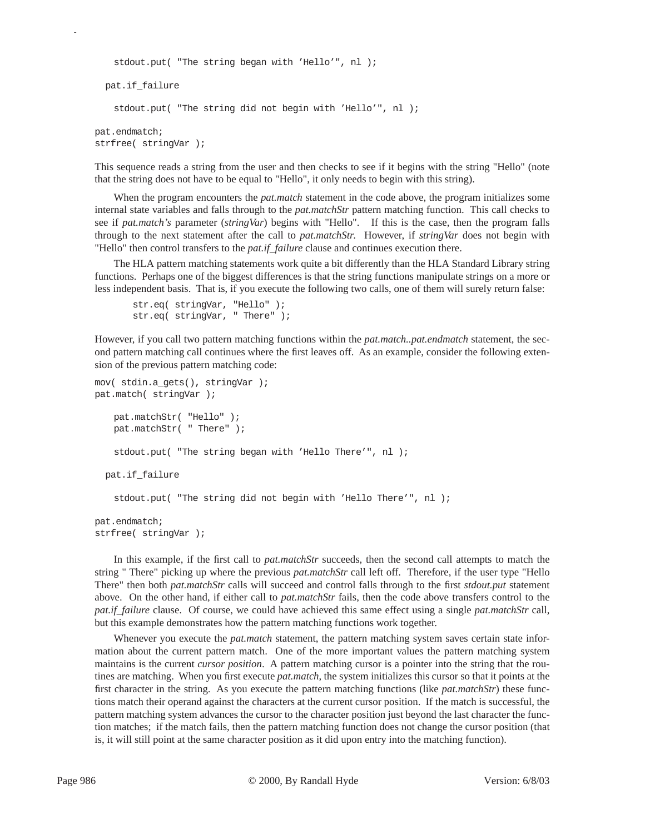```
stdout.put( "The string began with 'Hello'", nl );
  pat.if_failure
   stdout.put( "The string did not begin with 'Hello'", nl );
pat.endmatch;
strfree( stringVar );
```
This sequence reads a string from the user and then checks to see if it begins with the string "Hello" (note that the string does not have to be equal to "Hello", it only needs to begin with this string).

When the program encounters the *pat.match* statement in the code above, the program initializes some internal state variables and falls through to the *pat.matchStr* pattern matching function. This call checks to see if *pat.match's* parameter (*stringVar*) begins with "Hello". If this is the case, then the program falls through to the next statement after the call to *pat.matchStr*. However, if *stringVar* does not begin with "Hello" then control transfers to the *pat.if\_failure* clause and continues execution there.

The HLA pattern matching statements work quite a bit differently than the HLA Standard Library string functions. Perhaps one of the biggest differences is that the string functions manipulate strings on a more or less independent basis. That is, if you execute the following two calls, one of them will surely return false:

```
str.eq( stringVar, "Hello" );
str.eq( stringVar, " There" );
```
However, if you call two pattern matching functions within the *pat.match..pat.endmatch* statement, the second pattern matching call continues where the first leaves off. As an example, consider the following extension of the previous pattern matching code:

```
mov( stdin.a_gets(), stringVar );
pat.match( stringVar );
   pat.matchStr( "Hello" );
   pat.matchStr( " There" );
   stdout.put( "The string began with 'Hello There'", nl );
  pat.if_failure
   stdout.put( "The string did not begin with 'Hello There'", nl );
pat.endmatch;
strfree( stringVar );
```
In this example, if the first call to *pat.matchStr* succeeds, then the second call attempts to match the string " There" picking up where the previous *pat.matchStr* call left off. Therefore, if the user type "Hello There" then both *pat.matchStr* calls will succeed and control falls through to the first *stdout.put* statement above. On the other hand, if either call to *pat.matchStr* fails, then the code above transfers control to the *pat.if failure* clause. Of course, we could have achieved this same effect using a single *pat.matchStr* call, but this example demonstrates how the pattern matching functions work together.

Whenever you execute the *pat.match* statement, the pattern matching system saves certain state information about the current pattern match. One of the more important values the pattern matching system maintains is the current *cursor position*. A pattern matching cursor is a pointer into the string that the routines are matching. When you first execute *pat.match*, the system initializes this cursor so that it points at the first character in the string. As you execute the pattern matching functions (like *pat.matchStr*) these functions match their operand against the characters at the current cursor position. If the match is successful, the pattern matching system advances the cursor to the character position just beyond the last character the function matches; if the match fails, then the pattern matching function does not change the cursor position (that is, it will still point at the same character position as it did upon entry into the matching function).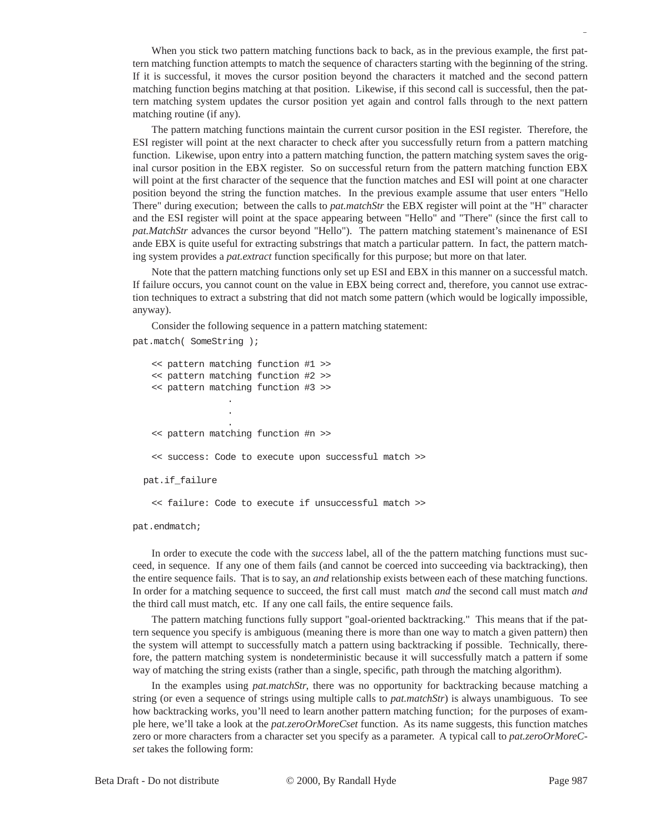When you stick two pattern matching functions back to back, as in the previous example, the first pattern matching function attempts to match the sequence of characters starting with the beginning of the string. If it is successful, it moves the cursor position beyond the characters it matched and the second pattern matching function begins matching at that position. Likewise, if this second call is successful, then the pattern matching system updates the cursor position yet again and control falls through to the next pattern matching routine (if any).

The pattern matching functions maintain the current cursor position in the ESI register. Therefore, the ESI register will point at the next character to check after you successfully return from a pattern matching function. Likewise, upon entry into a pattern matching function, the pattern matching system saves the original cursor position in the EBX register. So on successful return from the pattern matching function EBX will point at the first character of the sequence that the function matches and ESI will point at one character position beyond the string the function matches. In the previous example assume that user enters "Hello There" during execution; between the calls to *pat.matchStr* the EBX register will point at the "H" character and the ESI register will point at the space appearing between "Hello" and "There" (since the first call to *pat.MatchStr* advances the cursor beyond "Hello"). The pattern matching statement's mainenance of ESI ande EBX is quite useful for extracting substrings that match a particular pattern. In fact, the pattern matching system provides a *pat.extract* function specifically for this purpose; but more on that later.

Note that the pattern matching functions only set up ESI and EBX in this manner on a successful match. If failure occurs, you cannot count on the value in EBX being correct and, therefore, you cannot use extraction techniques to extract a substring that did not match some pattern (which would be logically impossible, anyway).

Consider the following sequence in a pattern matching statement:

```
pat.match( SomeString );
```
<< pattern matching function #1 >> << pattern matching function #2 >> << pattern matching function #3 >> . . . << pattern matching function #n >> << success: Code to execute upon successful match >> pat.if\_failure << failure: Code to execute if unsuccessful match >>

pat.endmatch;

In order to execute the code with the *success* label, all of the the pattern matching functions must succeed, in sequence. If any one of them fails (and cannot be coerced into succeeding via backtracking), then the entire sequence fails. That is to say, an *and* relationship exists between each of these matching functions. In order for a matching sequence to succeed, the first call must match *and* the second call must match *and* the third call must match, etc. If any one call fails, the entire sequence fails.

The pattern matching functions fully support "goal-oriented backtracking." This means that if the pattern sequence you specify is ambiguous (meaning there is more than one way to match a given pattern) then the system will attempt to successfully match a pattern using backtracking if possible. Technically, therefore, the pattern matching system is nondeterministic because it will successfully match a pattern if some way of matching the string exists (rather than a single, specific, path through the matching algorithm).

In the examples using *pat.matchStr*, there was no opportunity for backtracking because matching a string (or even a sequence of strings using multiple calls to *pat.matchStr*) is always unambiguous. To see how backtracking works, you'll need to learn another pattern matching function; for the purposes of example here, we'll take a look at the *pat.zeroOrMoreCset* function. As its name suggests, this function matches zero or more characters from a character set you specify as a parameter. A typical call to *pat.zeroOrMoreCset* takes the following form: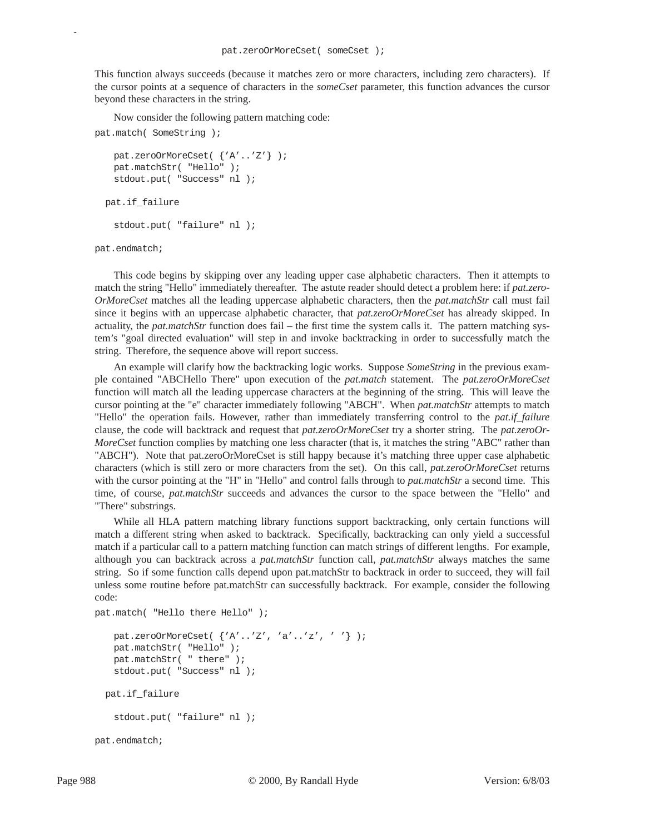This function always succeeds (because it matches zero or more characters, including zero characters). If the cursor points at a sequence of characters in the *someCset* parameter, this function advances the cursor beyond these characters in the string.

Now consider the following pattern matching code:

```
pat.match( SomeString );
   pat.zeroOrMoreCset( {'A'..'Z'} );
   pat.matchStr( "Hello" );
   stdout.put( "Success" nl );
  pat.if_failure
   stdout.put( "failure" nl );
```
pat.endmatch;

p

This code begins by skipping over any leading upper case alphabetic characters. Then it attempts to match the string "Hello" immediately thereafter. The astute reader should detect a problem here: if *pat.zero-OrMoreCset* matches all the leading uppercase alphabetic characters, then the *pat.matchStr* call must fail since it begins with an uppercase alphabetic character, that *pat.zeroOrMoreCset* has already skipped. In actuality, the *pat.matchStr* function does fail – the first time the system calls it. The pattern matching system's "goal directed evaluation" will step in and invoke backtracking in order to successfully match the string. Therefore, the sequence above will report success.

An example will clarify how the backtracking logic works. Suppose *SomeString* in the previous example contained "ABCHello There" upon execution of the *pat.match* statement. The *pat.zeroOrMoreCset* function will match all the leading uppercase characters at the beginning of the string. This will leave the cursor pointing at the "e" character immediately following "ABCH". When *pat.matchStr* attempts to match "Hello" the operation fails. However, rather than immediately transferring control to the *pat.if\_failure* clause, the code will backtrack and request that *pat.zeroOrMoreCset* try a shorter string. The *pat.zeroOr-MoreCset* function complies by matching one less character (that is, it matches the string "ABC" rather than "ABCH"). Note that pat.zeroOrMoreCset is still happy because it's matching three upper case alphabetic characters (which is still zero or more characters from the set). On this call, *pat.zeroOrMoreCset* returns with the cursor pointing at the "H" in "Hello" and control falls through to *pat.matchStr* a second time. This time, of course, *pat.matchStr* succeeds and advances the cursor to the space between the "Hello" and "There" substrings.

While all HLA pattern matching library functions support backtracking, only certain functions will match a different string when asked to backtrack. Specifically, backtracking can only yield a successful match if a particular call to a pattern matching function can match strings of different lengths. For example, although you can backtrack across a *pat.matchStr* function call, *pat.matchStr* always matches the same string. So if some function calls depend upon pat.matchStr to backtrack in order to succeed, they will fail unless some routine before pat.matchStr can successfully backtrack. For example, consider the following code:

```
pat.match( "Hello there Hello" );
   pat.zeroOrMoreCset( {'A'..'Z', 'a'..'z', ' '} );
   pat.matchStr( "Hello" );
   pat.matchStr( " there" );
   stdout.put( "Success" nl );
  pat.if_failure
   stdout.put( "failure" nl );
pat.endmatch;
```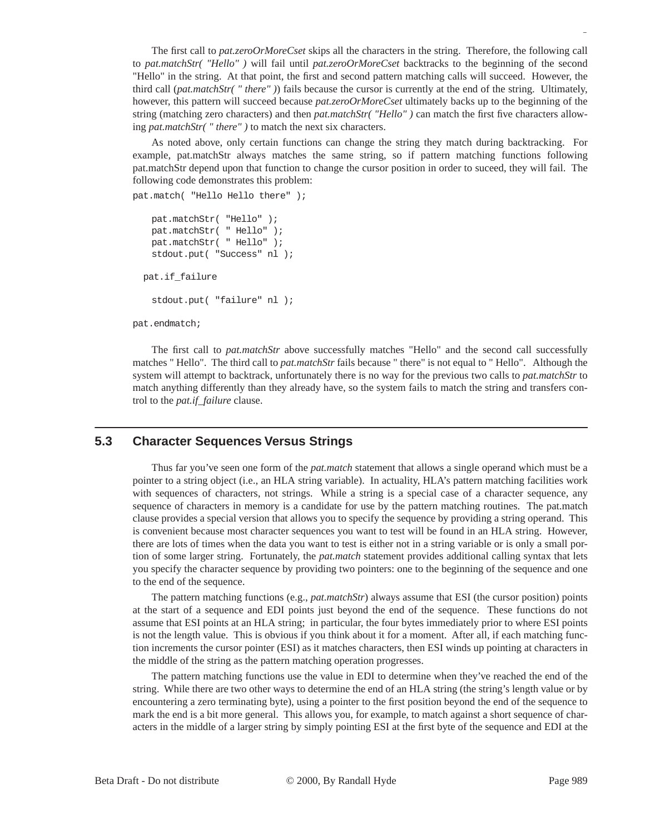The first call to *pat.zeroOrMoreCset* skips all the characters in the string. Therefore, the following call to *pat.matchStr( "Hello" )* will fail until *pat.zeroOrMoreCset* backtracks to the beginning of the second "Hello" in the string. At that point, the first and second pattern matching calls will succeed. However, the third call (*pat.matchStr( " there" )*) fails because the cursor is currently at the end of the string. Ultimately, however, this pattern will succeed because *pat.zeroOrMoreCset* ultimately backs up to the beginning of the string (matching zero characters) and then *pat.matchStr( "Hello" )* can match the first five characters allowing *pat.matchStr( " there" )* to match the next six characters.

As noted above, only certain functions can change the string they match during backtracking. For example, pat.matchStr always matches the same string, so if pattern matching functions following pat.matchStr depend upon that function to change the cursor position in order to suceed, they will fail. The following code demonstrates this problem:

```
pat.match( "Hello Hello there" );
```

```
pat.matchStr( "Hello" );
 pat.matchStr( " Hello" );
 pat.matchStr( " Hello" );
 stdout.put( "Success" nl );
 pat.if_failure
```

```
stdout.put( "failure" nl );
```
pat.endmatch;

The first call to *pat.matchStr* above successfully matches "Hello" and the second call successfully matches " Hello". The third call to *pat.matchStr* fails because " there" is not equal to " Hello". Although the system will attempt to backtrack, unfortunately there is no way for the previous two calls to *pat.matchStr* to match anything differently than they already have, so the system fails to match the string and transfers control to the *pat.if\_failure* clause.

### **5.3 Character Sequences Versus Strings**

Thus far you've seen one form of the *pat.match* statement that allows a single operand which must be a pointer to a string object (i.e., an HLA string variable). In actuality, HLA's pattern matching facilities work with sequences of characters, not strings. While a string is a special case of a character sequence, any sequence of characters in memory is a candidate for use by the pattern matching routines. The pat.match clause provides a special version that allows you to specify the sequence by providing a string operand. This is convenient because most character sequences you want to test will be found in an HLA string. However, there are lots of times when the data you want to test is either not in a string variable or is only a small portion of some larger string. Fortunately, the *pat.match* statement provides additional calling syntax that lets you specify the character sequence by providing two pointers: one to the beginning of the sequence and one to the end of the sequence.

The pattern matching functions (e.g., *pat.matchStr*) always assume that ESI (the cursor position) points at the start of a sequence and EDI points just beyond the end of the sequence. These functions do not assume that ESI points at an HLA string; in particular, the four bytes immediately prior to where ESI points is not the length value. This is obvious if you think about it for a moment. After all, if each matching function increments the cursor pointer (ESI) as it matches characters, then ESI winds up pointing at characters in the middle of the string as the pattern matching operation progresses.

The pattern matching functions use the value in EDI to determine when they've reached the end of the string. While there are two other ways to determine the end of an HLA string (the string's length value or by encountering a zero terminating byte), using a pointer to the first position beyond the end of the sequence to mark the end is a bit more general. This allows you, for example, to match against a short sequence of characters in the middle of a larger string by simply pointing ESI at the first byte of the sequence and EDI at the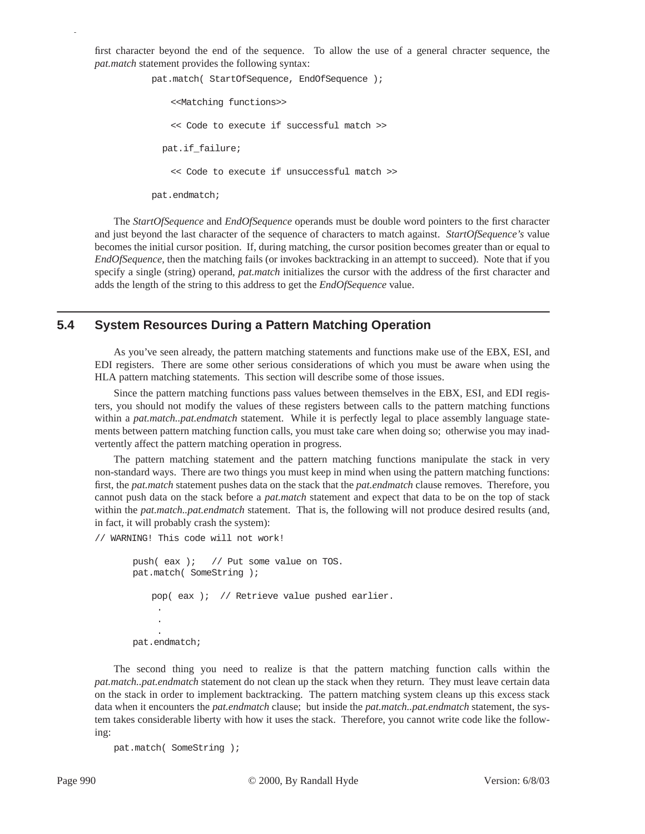first character beyond the end of the sequence. To allow the use of a general chracter sequence, the *pat.match* statement provides the following syntax:

pat.match( StartOfSequence, EndOfSequence );

<<Matching functions>> << Code to execute if successful match >> pat.if\_failure; << Code to execute if unsuccessful match >>

pat.endmatch;

p

The *StartOfSequence* and *EndOfSequence* operands must be double word pointers to the first character and just beyond the last character of the sequence of characters to match against. *StartOfSequence's* value becomes the initial cursor position. If, during matching, the cursor position becomes greater than or equal to *EndOfSequence*, then the matching fails (or invokes backtracking in an attempt to succeed). Note that if you specify a single (string) operand, *pat.match* initializes the cursor with the address of the first character and adds the length of the string to this address to get the *EndOfSequence* value.

### **5.4 System Resources During a Pattern Matching Operation**

As you've seen already, the pattern matching statements and functions make use of the EBX, ESI, and EDI registers. There are some other serious considerations of which you must be aware when using the HLA pattern matching statements. This section will describe some of those issues.

Since the pattern matching functions pass values between themselves in the EBX, ESI, and EDI registers, you should not modify the values of these registers between calls to the pattern matching functions within a *pat.match..pat.endmatch* statement. While it is perfectly legal to place assembly language statements between pattern matching function calls, you must take care when doing so; otherwise you may inadvertently affect the pattern matching operation in progress.

The pattern matching statement and the pattern matching functions manipulate the stack in very non-standard ways. There are two things you must keep in mind when using the pattern matching functions: first, the *pat.match* statement pushes data on the stack that the *pat.endmatch* clause removes. Therefore, you cannot push data on the stack before a *pat.match* statement and expect that data to be on the top of stack within the *pat.match..pat.endmatch* statement. That is, the following will not produce desired results (and, in fact, it will probably crash the system):

// WARNING! This code will not work!

push( eax ); // Put some value on TOS. pat.match( SomeString ); pop( eax ); // Retrieve value pushed earlier. . . . pat.endmatch;

The second thing you need to realize is that the pattern matching function calls within the *pat.match..pat.endmatch* statement do not clean up the stack when they return. They must leave certain data on the stack in order to implement backtracking. The pattern matching system cleans up this excess stack data when it encounters the *pat.endmatch* clause; but inside the *pat.match..pat.endmatch* statement, the system takes considerable liberty with how it uses the stack. Therefore, you cannot write code like the following:

```
pat.match( SomeString );
```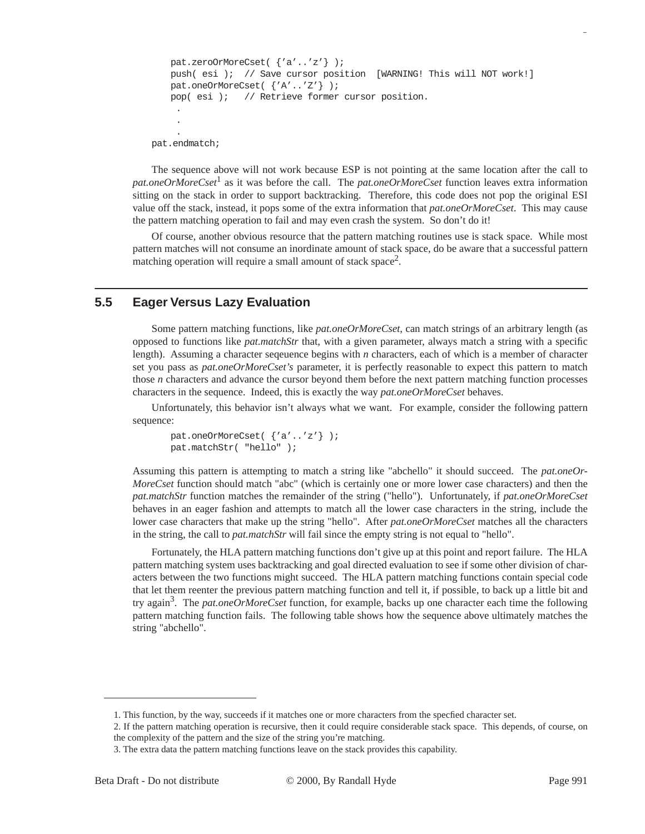```
pat.zeroOrMoreCset( {'a'..'z'} );
   push( esi ); // Save cursor position [WARNING! This will NOT work!]
   pat.oneOrMoreCset( {'A'..'Z'} );
   pop( esi ); // Retrieve former cursor position.
    .
    .
    .
pat.endmatch;
```
The sequence above will not work because ESP is not pointing at the same location after the call to *pat.oneOrMoreCset*<sup>1</sup> as it was before the call. The *pat.oneOrMoreCset* function leaves extra information sitting on the stack in order to support backtracking. Therefore, this code does not pop the original ESI value off the stack, instead, it pops some of the extra information that *pat.oneOrMoreCset*. This may cause the pattern matching operation to fail and may even crash the system. So don't do it!

Of course, another obvious resource that the pattern matching routines use is stack space. While most pattern matches will not consume an inordinate amount of stack space, do be aware that a successful pattern matching operation will require a small amount of stack space<sup>2</sup>.

## **5.5 Eager Versus Lazy Evaluation**

Some pattern matching functions, like *pat.oneOrMoreCset*, can match strings of an arbitrary length (as opposed to functions like *pat.matchStr* that, with a given parameter, always match a string with a specific length). Assuming a character seqeuence begins with *n* characters, each of which is a member of character set you pass as *pat.oneOrMoreCset's* parameter, it is perfectly reasonable to expect this pattern to match those *n* characters and advance the cursor beyond them before the next pattern matching function processes characters in the sequence. Indeed, this is exactly the way *pat.oneOrMoreCset* behaves.

Unfortunately, this behavior isn't always what we want. For example, consider the following pattern sequence:

```
pat.oneOrMoreCset( {'a'..'z'} );
pat.matchStr( "hello" );
```
Assuming this pattern is attempting to match a string like "abchello" it should succeed. The *pat.oneOr-MoreCset* function should match "abc" (which is certainly one or more lower case characters) and then the *pat.matchStr* function matches the remainder of the string ("hello"). Unfortunately, if *pat.oneOrMoreCset* behaves in an eager fashion and attempts to match all the lower case characters in the string, include the lower case characters that make up the string "hello". After *pat.oneOrMoreCset* matches all the characters in the string, the call to *pat.matchStr* will fail since the empty string is not equal to "hello".

Fortunately, the HLA pattern matching functions don't give up at this point and report failure. The HLA pattern matching system uses backtracking and goal directed evaluation to see if some other division of characters between the two functions might succeed. The HLA pattern matching functions contain special code that let them reenter the previous pattern matching function and tell it, if possible, to back up a little bit and try again3. The *pat.oneOrMoreCset* function, for example, backs up one character each time the following pattern matching function fails. The following table shows how the sequence above ultimately matches the string "abchello".

<sup>1.</sup> This function, by the way, succeeds if it matches one or more characters from the specfied character set.

<sup>2.</sup> If the pattern matching operation is recursive, then it could require considerable stack space. This depends, of course, on the complexity of the pattern and the size of the string you're matching.

<sup>3.</sup> The extra data the pattern matching functions leave on the stack provides this capability.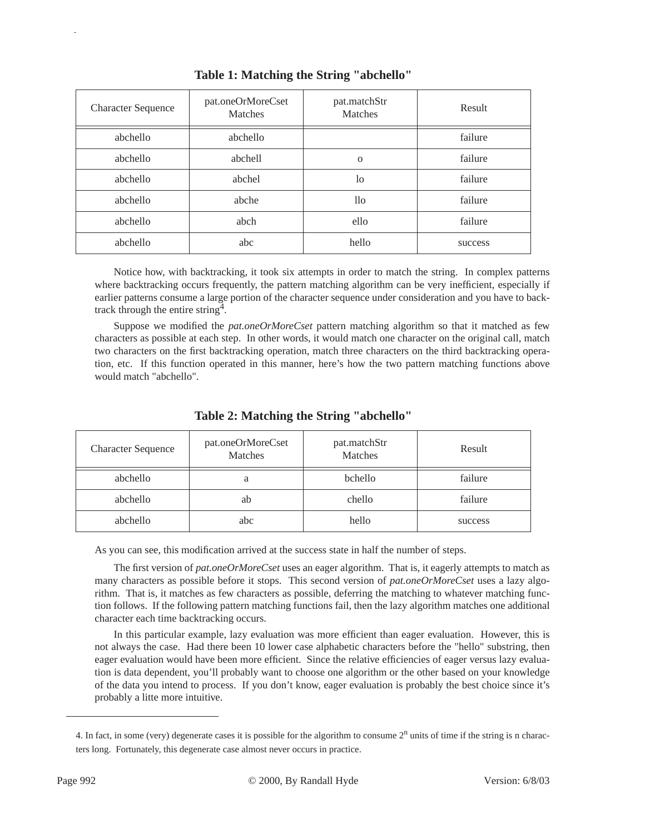| <b>Character Sequence</b> | pat.oneOrMoreCset<br>Matches | pat.matchStr<br>Matches | Result  |
|---------------------------|------------------------------|-------------------------|---------|
| abchello                  | abchello                     |                         | failure |
| abchello                  | abchell                      | $\Omega$                | failure |
| abchello                  | abchel                       | 1 <sub>o</sub>          | failure |
| abchello                  | abche                        | 11o                     | failure |
| abchello                  | abch                         | ello                    | failure |
| abchello                  | abc                          | hello                   | success |

**Table 1: Matching the String "abchello"**

Notice how, with backtracking, it took six attempts in order to match the string. In complex patterns where backtracking occurs frequently, the pattern matching algorithm can be very inefficient, especially if earlier patterns consume a large portion of the character sequence under consideration and you have to backtrack through the entire string<sup>4</sup>.

Suppose we modified the *pat.oneOrMoreCset* pattern matching algorithm so that it matched as few characters as possible at each step. In other words, it would match one character on the original call, match two characters on the first backtracking operation, match three characters on the third backtracking operation, etc. If this function operated in this manner, here's how the two pattern matching functions above would match "abchello".

| <b>Character Sequence</b> | pat.oneOrMoreCset<br>Matches | pat.matchStr<br>Matches | Result  |
|---------------------------|------------------------------|-------------------------|---------|
| abchello                  | a                            | bchello                 | failure |
| abchello                  | ab                           | chello                  | failure |
| abchello                  | abc                          | hello                   | success |

**Table 2: Matching the String "abchello"**

As you can see, this modification arrived at the success state in half the number of steps.

The first version of *pat.oneOrMoreCset* uses an eager algorithm. That is, it eagerly attempts to match as many characters as possible before it stops. This second version of *pat.oneOrMoreCset* uses a lazy algorithm. That is, it matches as few characters as possible, deferring the matching to whatever matching function follows. If the following pattern matching functions fail, then the lazy algorithm matches one additional character each time backtracking occurs.

In this particular example, lazy evaluation was more efficient than eager evaluation. However, this is not always the case. Had there been 10 lower case alphabetic characters before the "hello" substring, then eager evaluation would have been more efficient. Since the relative efficiencies of eager versus lazy evaluation is data dependent, you'll probably want to choose one algorithm or the other based on your knowledge of the data you intend to process. If you don't know, eager evaluation is probably the best choice since it's probably a litte more intuitive.

<sup>4.</sup> In fact, in some (very) degenerate cases it is possible for the algorithm to consume  $2<sup>n</sup>$  units of time if the string is n characters long. Fortunately, this degenerate case almost never occurs in practice.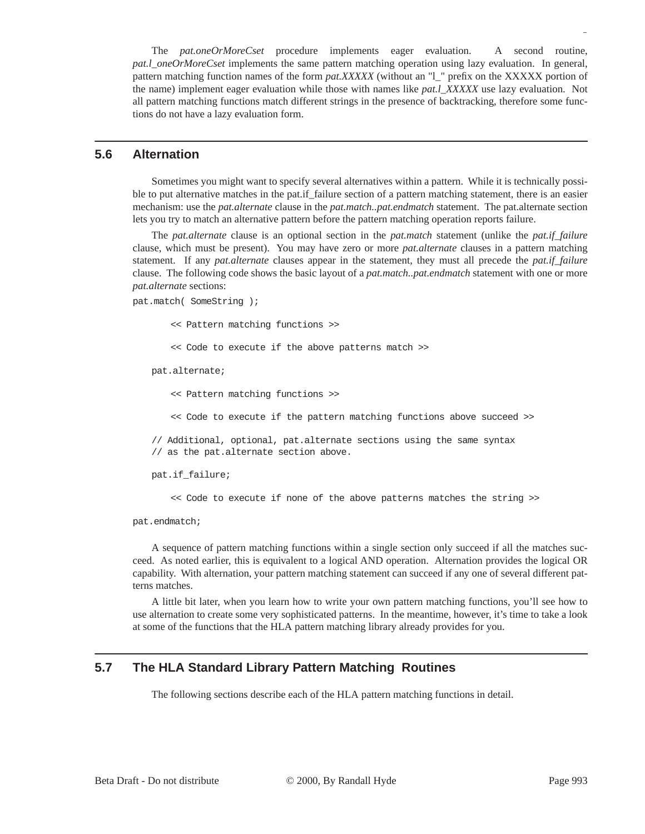The *pat.oneOrMoreCset* procedure implements eager evaluation. A second routine, *pat.l\_oneOrMoreCset* implements the same pattern matching operation using lazy evaluation. In general, pattern matching function names of the form *pat.XXXXX* (without an "l\_" prefix on the XXXXX portion of the name) implement eager evaluation while those with names like *pat.l\_XXXXX* use lazy evaluation. Not all pattern matching functions match different strings in the presence of backtracking, therefore some functions do not have a lazy evaluation form.

#### **5.6 Alternation**

Sometimes you might want to specify several alternatives within a pattern. While it is technically possible to put alternative matches in the pat.if failure section of a pattern matching statement, there is an easier mechanism: use the *pat.alternate* clause in the *pat.match..pat.endmatch* statement. The pat.alternate section lets you try to match an alternative pattern before the pattern matching operation reports failure.

The *pat.alternate* clause is an optional section in the *pat.match* statement (unlike the *pat.if\_failure* clause, which must be present). You may have zero or more *pat.alternate* clauses in a pattern matching statement. If any *pat.alternate* clauses appear in the statement, they must all precede the *pat.if\_failure* clause. The following code shows the basic layout of a *pat.match..pat.endmatch* statement with one or more *pat.alternate* sections:

```
pat.match( SomeString );
```
<< Pattern matching functions >>

<< Code to execute if the above patterns match >>

pat.alternate;

<< Pattern matching functions >>

<< Code to execute if the pattern matching functions above succeed >>

// Additional, optional, pat.alternate sections using the same syntax // as the pat.alternate section above.

pat.if\_failure;

<< Code to execute if none of the above patterns matches the string >>

pat.endmatch;

A sequence of pattern matching functions within a single section only succeed if all the matches succeed. As noted earlier, this is equivalent to a logical AND operation. Alternation provides the logical OR capability. With alternation, your pattern matching statement can succeed if any one of several different patterns matches.

A little bit later, when you learn how to write your own pattern matching functions, you'll see how to use alternation to create some very sophisticated patterns. In the meantime, however, it's time to take a look at some of the functions that the HLA pattern matching library already provides for you.

## **5.7 The HLA Standard Library Pattern Matching Routines**

The following sections describe each of the HLA pattern matching functions in detail.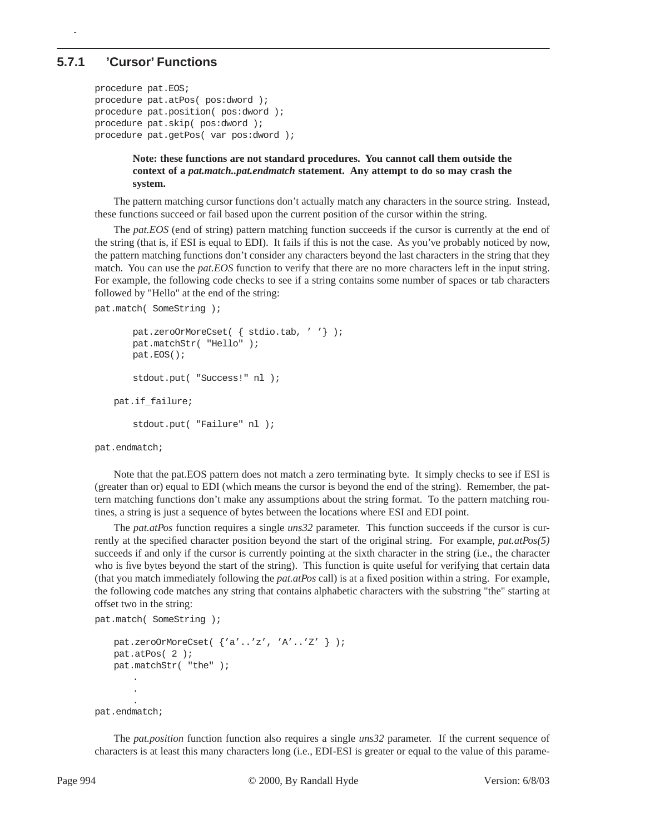#### **5.7.1 'Cursor' Functions**

p

```
procedure pat.EOS;
procedure pat.atPos( pos:dword );
procedure pat.position( pos:dword );
procedure pat.skip( pos:dword );
procedure pat.getPos( var pos:dword );
```
#### **Note: these functions are not standard procedures. You cannot call them outside the context of a** *pat.match..pat.endmatch* **statement. Any attempt to do so may crash the system.**

The pattern matching cursor functions don't actually match any characters in the source string. Instead, these functions succeed or fail based upon the current position of the cursor within the string.

The *pat.EOS* (end of string) pattern matching function succeeds if the cursor is currently at the end of the string (that is, if ESI is equal to EDI). It fails if this is not the case. As you've probably noticed by now, the pattern matching functions don't consider any characters beyond the last characters in the string that they match. You can use the *pat.EOS* function to verify that there are no more characters left in the input string. For example, the following code checks to see if a string contains some number of spaces or tab characters followed by "Hello" at the end of the string:

pat.match( SomeString );

```
pat.zeroOrMoreCset( { stdio.tab, ' '} );
   pat.matchStr( "Hello" );
   pat.EOS();
   stdout.put( "Success!" nl );
pat.if_failure;
   stdout.put( "Failure" nl );
```
pat.endmatch;

Note that the pat.EOS pattern does not match a zero terminating byte. It simply checks to see if ESI is (greater than or) equal to EDI (which means the cursor is beyond the end of the string). Remember, the pattern matching functions don't make any assumptions about the string format. To the pattern matching routines, a string is just a sequence of bytes between the locations where ESI and EDI point.

The *pat.atPos* function requires a single *uns32* parameter. This function succeeds if the cursor is currently at the specified character position beyond the start of the original string. For example, *pat.atPos(5)* succeeds if and only if the cursor is currently pointing at the sixth character in the string (i.e., the character who is five bytes beyond the start of the string). This function is quite useful for verifying that certain data (that you match immediately following the *pat.atPos* call) is at a fixed position within a string. For example, the following code matches any string that contains alphabetic characters with the substring "the" starting at offset two in the string:

```
pat.match( SomeString );
   pat.zeroOrMoreCset( {'a'..'z', 'A'..'Z' } );
   pat.atPos( 2 );
   pat.matchStr( "the" );
       .
       .
       .
pat.endmatch;
```
The *pat.position* function function also requires a single *uns32* parameter. If the current sequence of characters is at least this many characters long (i.e., EDI-ESI is greater or equal to the value of this parame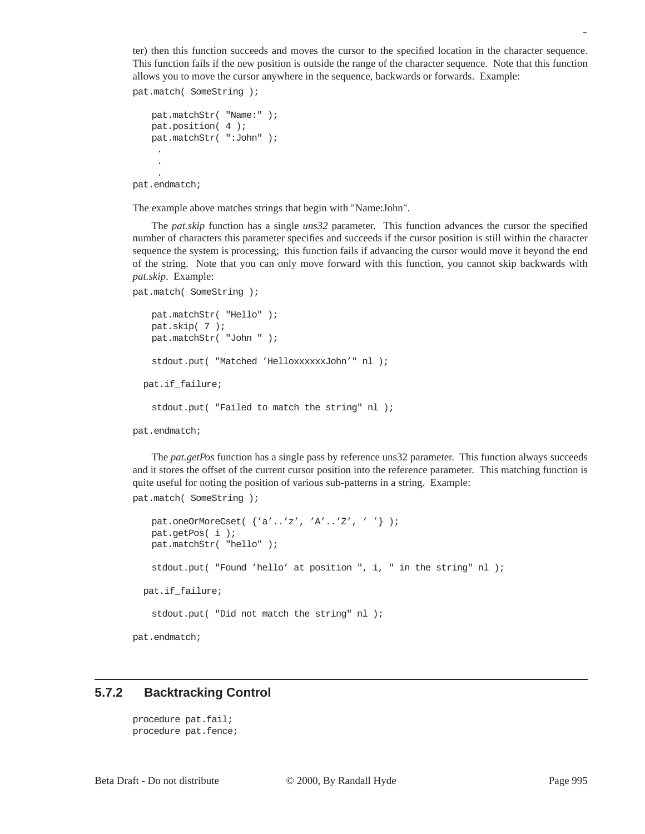ter) then this function succeeds and moves the cursor to the specified location in the character sequence. This function fails if the new position is outside the range of the character sequence. Note that this function allows you to move the cursor anywhere in the sequence, backwards or forwards. Example:

```
pat.match( SomeString );
   pat.matchStr( "Name:" );
   pat.position( 4 );
   pat.matchStr( ":John" );
     .
     .
     .
pat.endmatch;
```
The example above matches strings that begin with "Name:John".

The *pat.skip* function has a single *uns32* parameter. This function advances the cursor the specified number of characters this parameter specifies and succeeds if the cursor position is still within the character sequence the system is processing; this function fails if advancing the cursor would move it beyond the end of the string. Note that you can only move forward with this function, you cannot skip backwards with *pat.skip*. Example:

```
pat.match( SomeString );
   pat.matchStr( "Hello" );
   pat.skip( 7 );
   pat.matchStr( "John " );
   stdout.put( "Matched 'HelloxxxxxxJohn'" nl );
   pat.if_failure;
    stdout.put( "Failed to match the string" nl );
pat.endmatch;
```
The *pat.getPos* function has a single pass by reference uns32 parameter. This function always succeeds and it stores the offset of the current cursor position into the reference parameter. This matching function is quite useful for noting the position of various sub-patterns in a string. Example:

```
pat.match( SomeString );
```

```
pat.oneOrMoreCset( {'a'..'z', 'A'..'Z', ' '} );
   pat.getPos( i );
   pat.matchStr( "hello" );
   stdout.put( "Found 'hello' at position ", i, " in the string" nl );
   pat.if_failure;
   stdout.put( "Did not match the string" nl );
pat.endmatch;
```
#### **5.7.2 Backtracking Control**

```
procedure pat.fail;
procedure pat.fence;
```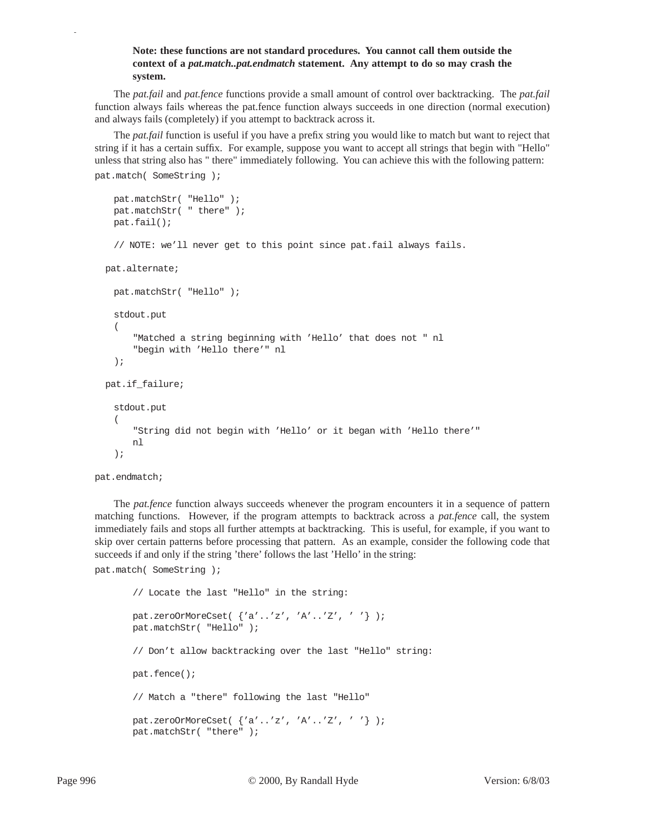#### **Note: these functions are not standard procedures. You cannot call them outside the context of a** *pat.match..pat.endmatch* **statement. Any attempt to do so may crash the system.**

The *pat.fail* and *pat.fence* functions provide a small amount of control over backtracking. The *pat.fail* function always fails whereas the pat.fence function always succeeds in one direction (normal execution) and always fails (completely) if you attempt to backtrack across it.

The *pat.fail* function is useful if you have a prefix string you would like to match but want to reject that string if it has a certain suffix. For example, suppose you want to accept all strings that begin with "Hello" unless that string also has " there" immediately following. You can achieve this with the following pattern: pat.match( SomeString );

```
pat.matchStr( "Hello" );
 pat.matchStr( " there" );
 pat.fail();
 // NOTE: we'll never get to this point since pat.fail always fails.
 pat.alternate;
 pat.matchStr( "Hello" );
 stdout.put
  ("Matched a string beginning with 'Hello' that does not " nl
     "begin with 'Hello there'" nl
 );
 pat.if_failure;
 stdout.put
 ( 
     "String did not begin with 'Hello' or it began with 'Hello there'"
     nl
 );
```
pat.endmatch;

p

The *pat.fence* function always succeeds whenever the program encounters it in a sequence of pattern matching functions. However, if the program attempts to backtrack across a *pat.fence* call, the system immediately fails and stops all further attempts at backtracking. This is useful, for example, if you want to skip over certain patterns before processing that pattern. As an example, consider the following code that succeeds if and only if the string 'there' follows the last 'Hello' in the string: pat.match( SomeString );

```
// Locate the last "Hello" in the string:
pat.zeroOrMoreCset( {'a'..'z', 'A'..'Z', ' '} );
pat.matchStr( "Hello" );
// Don't allow backtracking over the last "Hello" string:
pat.fence();
// Match a "there" following the last "Hello"
pat.zeroOrMoreCset( {'a'..'z', 'A'..'Z', ' '} );
pat.matchStr( "there" );
```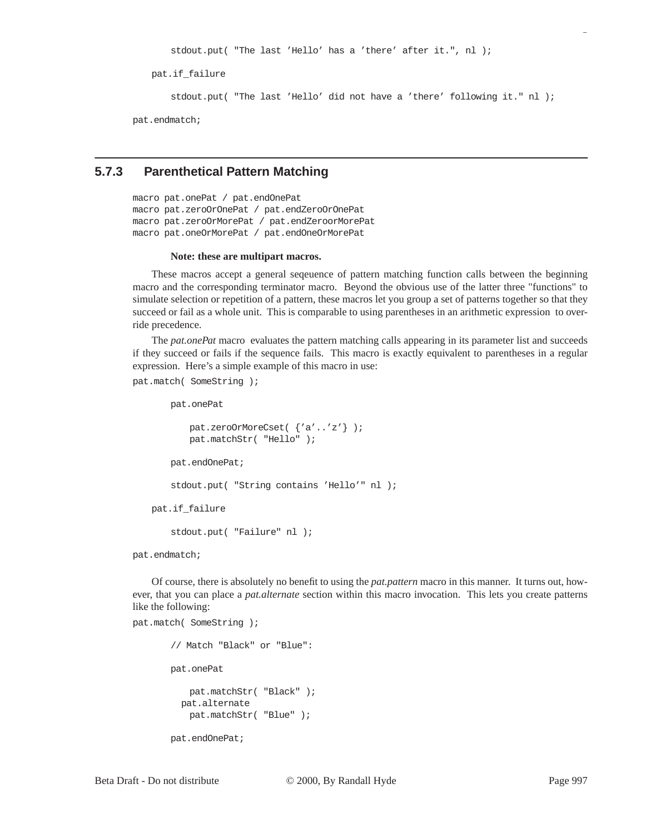stdout.put( "The last 'Hello' has a 'there' after it.", nl );

pat.if\_failure

stdout.put( "The last 'Hello' did not have a 'there' following it." nl );

pat.endmatch;

#### **5.7.3 Parenthetical Pattern Matching**

macro pat.onePat / pat.endOnePat macro pat.zeroOrOnePat / pat.endZeroOrOnePat macro pat.zeroOrMorePat / pat.endZeroorMorePat macro pat.oneOrMorePat / pat.endOneOrMorePat

#### **Note: these are multipart macros.**

These macros accept a general seqeuence of pattern matching function calls between the beginning macro and the corresponding terminator macro. Beyond the obvious use of the latter three "functions" to simulate selection or repetition of a pattern, these macros let you group a set of patterns together so that they succeed or fail as a whole unit. This is comparable to using parentheses in an arithmetic expression to override precedence.

The *pat.onePat* macro evaluates the pattern matching calls appearing in its parameter list and succeeds if they succeed or fails if the sequence fails. This macro is exactly equivalent to parentheses in a regular expression. Here's a simple example of this macro in use:

pat.match( SomeString );

```
pat.onePat
       pat.zeroOrMoreCset( {'a'..'z'} );
       pat.matchStr( "Hello" );
   pat.endOnePat;
   stdout.put( "String contains 'Hello'" nl );
pat.if_failure
   stdout.put( "Failure" nl );
```
pat.endmatch;

pat.match( SomeString );

Of course, there is absolutely no benefit to using the *pat.pattern* macro in this manner. It turns out, however, that you can place a *pat.alternate* section within this macro invocation. This lets you create patterns like the following:

```
// Match "Black" or "Blue":
pat.onePat
   pat.matchStr( "Black" );
   pat.alternate
   pat.matchStr( "Blue" );
pat.endOnePat;
```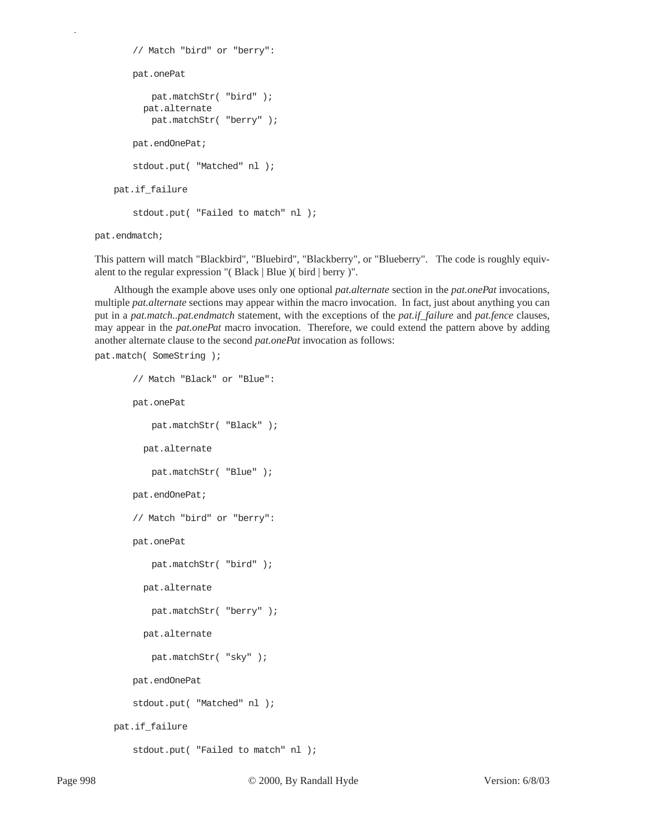```
// Match "bird" or "berry":
       pat.onePat
          pat.matchStr( "bird" );
          pat.alternate
          pat.matchStr( "berry" );
       pat.endOnePat;
       stdout.put( "Matched" nl );
   pat.if_failure
       stdout.put( "Failed to match" nl );
pat.endmatch;
```
This pattern will match "Blackbird", "Bluebird", "Blackberry", or "Blueberry". The code is roughly equivalent to the regular expression "( Black | Blue )( bird | berry )".

Although the example above uses only one optional *pat.alternate* section in the *pat.onePat* invocations, multiple *pat.alternate* sections may appear within the macro invocation. In fact, just about anything you can put in a *pat.match..pat.endmatch* statement, with the exceptions of the *pat.if\_failure* and *pat.fence* clauses, may appear in the *pat.onePat* macro invocation. Therefore, we could extend the pattern above by adding another alternate clause to the second *pat.onePat* invocation as follows:

```
pat.match( SomeString );
       // Match "Black" or "Blue":
       pat.onePat
          pat.matchStr( "Black" );
          pat.alternate
          pat.matchStr( "Blue" );
       pat.endOnePat;
       // Match "bird" or "berry":
       pat.onePat
          pat.matchStr( "bird" );
          pat.alternate
          pat.matchStr( "berry" );
          pat.alternate
          pat.matchStr( "sky" );
       pat.endOnePat
       stdout.put( "Matched" nl );
   pat.if_failure
       stdout.put( "Failed to match" nl );
```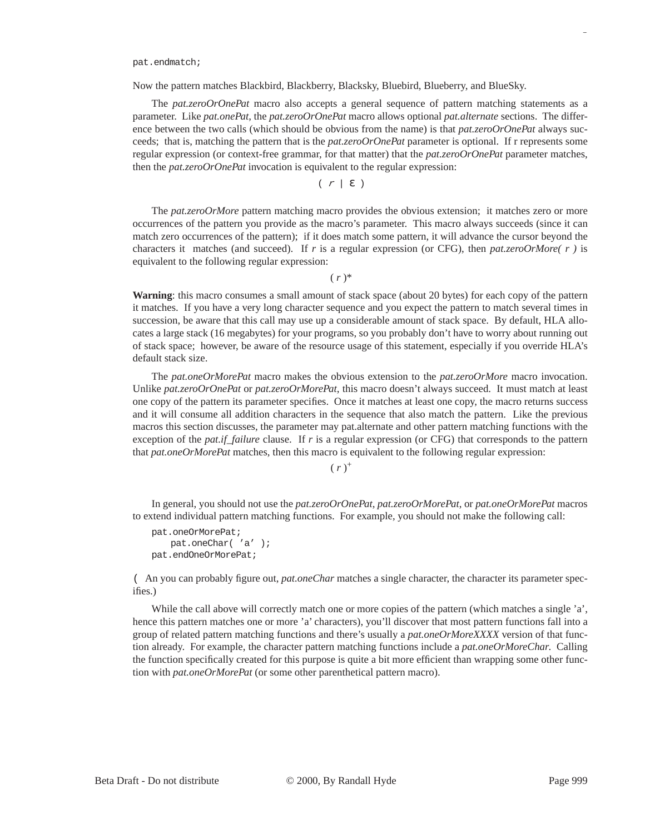pat.endmatch;

Now the pattern matches Blackbird, Blackberry, Blacksky, Bluebird, Blueberry, and BlueSky.

The *pat.zeroOrOnePat* macro also accepts a general sequence of pattern matching statements as a parameter. Like *pat.onePat*, the *pat.zeroOrOnePat* macro allows optional *pat.alternate* sections. The difference between the two calls (which should be obvious from the name) is that *pat.zeroOrOnePat* always succeeds; that is, matching the pattern that is the *pat.zeroOrOnePat* parameter is optional. If r represents some regular expression (or context-free grammar, for that matter) that the *pat.zeroOrOnePat* parameter matches, then the *pat.zeroOrOnePat* invocation is equivalent to the regular expression:

$$
(\begin{array}{c|c|c|c}\hline \mathcal{F} & \mathcal{E} \end{array})
$$

The *pat.zeroOrMore* pattern matching macro provides the obvious extension; it matches zero or more occurrences of the pattern you provide as the macro's parameter. This macro always succeeds (since it can match zero occurrences of the pattern); if it does match some pattern, it will advance the cursor beyond the characters it matches (and succeed). If *r* is a regular expression (or CFG), then *pat.zeroOrMore( r )* is equivalent to the following regular expression:

 $(r)^*$ 

**Warning**: this macro consumes a small amount of stack space (about 20 bytes) for each copy of the pattern it matches. If you have a very long character sequence and you expect the pattern to match several times in succession, be aware that this call may use up a considerable amount of stack space. By default, HLA allocates a large stack (16 megabytes) for your programs, so you probably don't have to worry about running out of stack space; however, be aware of the resource usage of this statement, especially if you override HLA's default stack size.

The *pat.oneOrMorePat* macro makes the obvious extension to the *pat.zeroOrMore* macro invocation. Unlike *pat.zeroOrOnePat* or *pat.zeroOrMorePat*, this macro doesn't always succeed. It must match at least one copy of the pattern its parameter specifies. Once it matches at least one copy, the macro returns success and it will consume all addition characters in the sequence that also match the pattern. Like the previous macros this section discusses, the parameter may pat.alternate and other pattern matching functions with the exception of the *pat.if\_failure* clause. If *r* is a regular expression (or CFG) that corresponds to the pattern that *pat.oneOrMorePat* matches, then this macro is equivalent to the following regular expression:

 $(r)^{+}$ 

In general, you should not use the *pat.zeroOrOnePat*, *pat.zeroOrMorePat*, or *pat.oneOrMorePat* macros to extend individual pattern matching functions. For example, you should not make the following call:

```
pat.oneOrMorePat;
   pat.oneChar( 'a' );
pat.endOneOrMorePat;
```
( An you can probably figure out, *pat.oneChar* matches a single character, the character its parameter specifies.)

While the call above will correctly match one or more copies of the pattern (which matches a single 'a', hence this pattern matches one or more 'a' characters), you'll discover that most pattern functions fall into a group of related pattern matching functions and there's usually a *pat.oneOrMoreXXXX* version of that function already. For example, the character pattern matching functions include a *pat.oneOrMoreChar*. Calling the function specifically created for this purpose is quite a bit more efficient than wrapping some other function with *pat.oneOrMorePat* (or some other parenthetical pattern macro).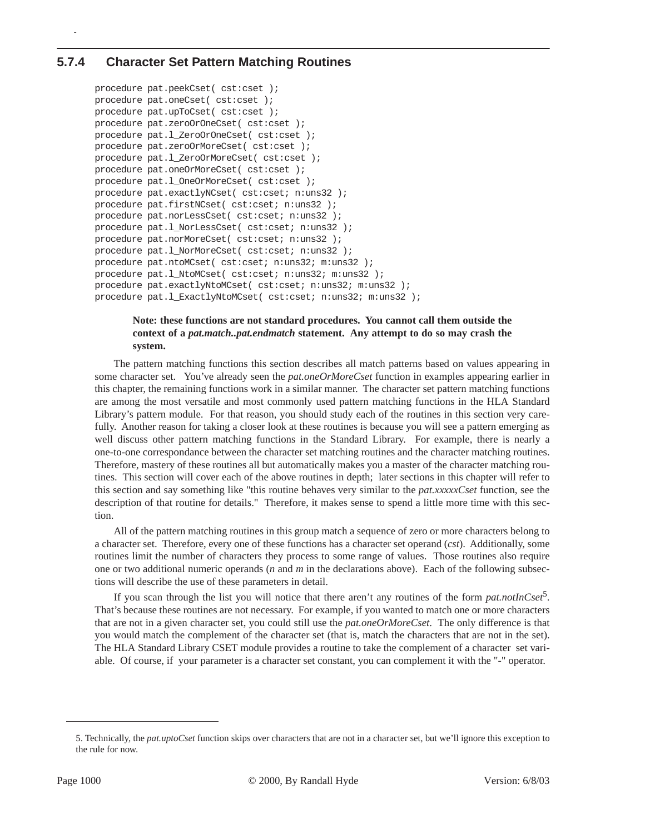## **5.7.4 Character Set Pattern Matching Routines**

p

```
procedure pat.peekCset( cst:cset );
procedure pat.oneCset( cst:cset );
procedure pat.upToCset( cst:cset );
procedure pat.zeroOrOneCset( cst:cset );
procedure pat.l_ZeroOrOneCset( cst:cset );
procedure pat.zeroOrMoreCset( cst:cset );
procedure pat.1_ZeroOrMoreCset( cst:cset );
procedure pat.oneOrMoreCset( cst:cset );
procedure pat.1 OneOrMoreCset( cst:cset );
procedure pat.exactlyNCset( cst:cset; n:uns32 );
procedure pat.firstNCset( cst:cset; n:uns32 );
procedure pat.norLessCset( cst:cset; n:uns32 );
procedure pat.l_NorLessCset( cst:cset; n:uns32 );
procedure pat.norMoreCset( cst:cset; n:uns32 );
procedure pat.1 NorMoreCset( cst:cset; n:uns32 );
procedure pat.ntoMCset( cst:cset; n:uns32; m:uns32 );
procedure pat.l_NtoMCset( cst:cset; n:uns32; m:uns32 );
procedure pat.exactlyNtoMCset( cst:cset; n:uns32; m:uns32 );
procedure pat.1_ExactlyNtoMCset( cst:cset; n:uns32; m:uns32 );
```
#### **Note: these functions are not standard procedures. You cannot call them outside the context of a** *pat.match..pat.endmatch* **statement. Any attempt to do so may crash the system.**

The pattern matching functions this section describes all match patterns based on values appearing in some character set. You've already seen the *pat.oneOrMoreCset* function in examples appearing earlier in this chapter, the remaining functions work in a similar manner. The character set pattern matching functions are among the most versatile and most commonly used pattern matching functions in the HLA Standard Library's pattern module. For that reason, you should study each of the routines in this section very carefully. Another reason for taking a closer look at these routines is because you will see a pattern emerging as well discuss other pattern matching functions in the Standard Library. For example, there is nearly a one-to-one correspondance between the character set matching routines and the character matching routines. Therefore, mastery of these routines all but automatically makes you a master of the character matching routines. This section will cover each of the above routines in depth; later sections in this chapter will refer to this section and say something like "this routine behaves very similar to the *pat.xxxxxCset* function, see the description of that routine for details." Therefore, it makes sense to spend a little more time with this section.

All of the pattern matching routines in this group match a sequence of zero or more characters belong to a character set. Therefore, every one of these functions has a character set operand (*cst*). Additionally, some routines limit the number of characters they process to some range of values. Those routines also require one or two additional numeric operands (*n* and *m* in the declarations above). Each of the following subsections will describe the use of these parameters in detail.

If you scan through the list you will notice that there aren't any routines of the form  $pat.notInCset$ <sup>2</sup>. That's because these routines are not necessary. For example, if you wanted to match one or more characters that are not in a given character set, you could still use the *pat.oneOrMoreCset*. The only difference is that you would match the complement of the character set (that is, match the characters that are not in the set). The HLA Standard Library CSET module provides a routine to take the complement of a character set variable. Of course, if your parameter is a character set constant, you can complement it with the "-" operator.

<sup>5.</sup> Technically, the *pat.uptoCset* function skips over characters that are not in a character set, but we'll ignore this exception to the rule for now.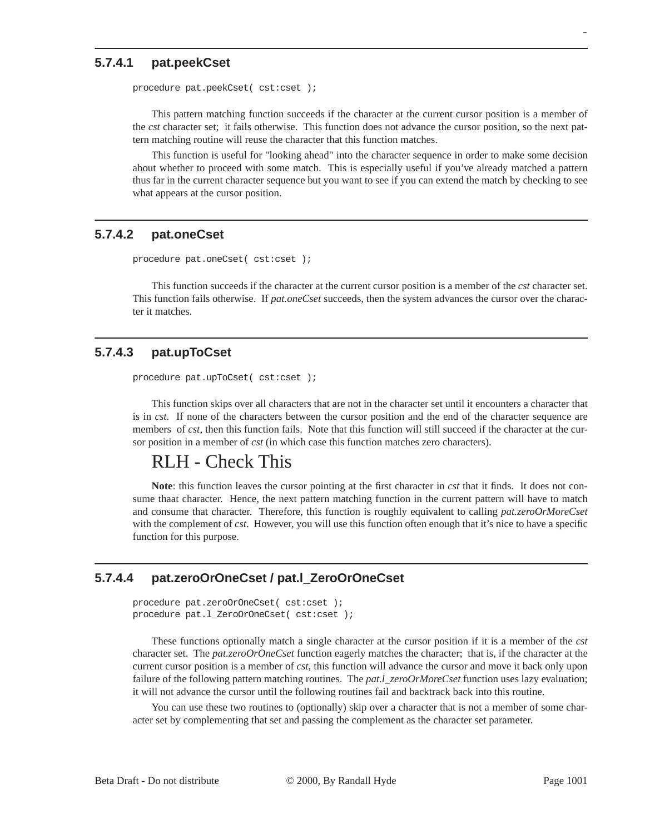#### **5.7.4.1 pat.peekCset**

procedure pat.peekCset( cst:cset );

This pattern matching function succeeds if the character at the current cursor position is a member of the *cst* character set; it fails otherwise. This function does not advance the cursor position, so the next pattern matching routine will reuse the character that this function matches.

This function is useful for "looking ahead" into the character sequence in order to make some decision about whether to proceed with some match. This is especially useful if you've already matched a pattern thus far in the current character sequence but you want to see if you can extend the match by checking to see what appears at the cursor position.

## **5.7.4.2 pat.oneCset**

```
procedure pat.oneCset( cst:cset );
```
This function succeeds if the character at the current cursor position is a member of the *cst* character set. This function fails otherwise. If *pat.oneCset* succeeds, then the system advances the cursor over the character it matches.

## **5.7.4.3 pat.upToCset**

procedure pat.upToCset( cst:cset );

This function skips over all characters that are not in the character set until it encounters a character that is in *cst*. If none of the characters between the cursor position and the end of the character sequence are members of *cst*, then this function fails. Note that this function will still succeed if the character at the cursor position in a member of *cst* (in which case this function matches zero characters).

# RLH - Check This

**Note**: this function leaves the cursor pointing at the first character in *cst* that it finds. It does not consume thaat character. Hence, the next pattern matching function in the current pattern will have to match and consume that character. Therefore, this function is roughly equivalent to calling *pat.zeroOrMoreCset* with the complement of *cst*. However, you will use this function often enough that it's nice to have a specific function for this purpose.

## **5.7.4.4 pat.zeroOrOneCset / pat.l\_ZeroOrOneCset**

```
procedure pat.zeroOrOneCset( cst:cset );
procedure pat.l_ZeroOrOneCset( cst:cset );
```
These functions optionally match a single character at the cursor position if it is a member of the *cst* character set. The *pat.zeroOrOneCset* function eagerly matches the character; that is, if the character at the current cursor position is a member of *cst*, this function will advance the cursor and move it back only upon failure of the following pattern matching routines. The *pat.l\_zeroOrMoreCset* function uses lazy evaluation; it will not advance the cursor until the following routines fail and backtrack back into this routine.

You can use these two routines to (optionally) skip over a character that is not a member of some character set by complementing that set and passing the complement as the character set parameter.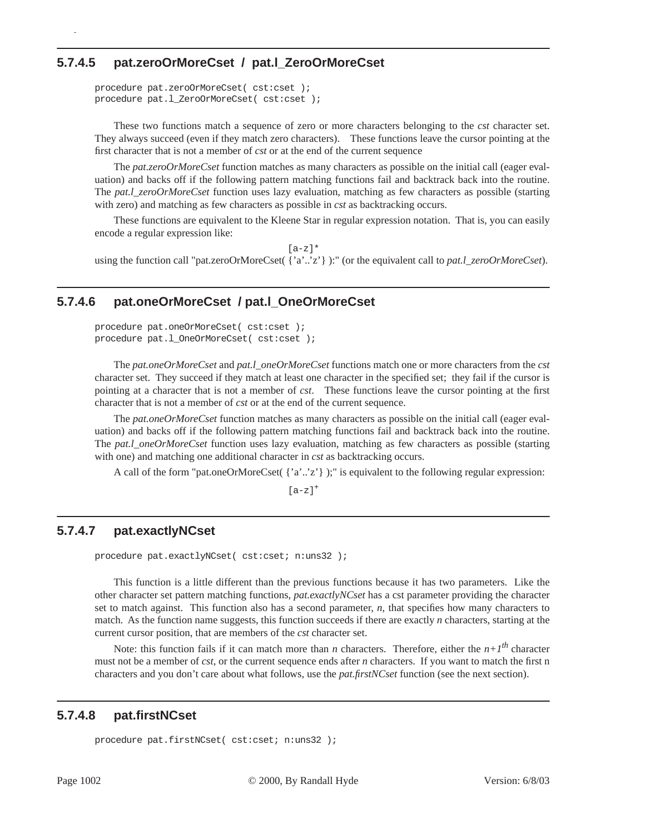## **5.7.4.5 pat.zeroOrMoreCset / pat.l\_ZeroOrMoreCset**

```
procedure pat.zeroOrMoreCset( cst:cset );
procedure pat.l_ZeroOrMoreCset( cst:cset );
```
p

These two functions match a sequence of zero or more characters belonging to the *cst* character set. They always succeed (even if they match zero characters). These functions leave the cursor pointing at the first character that is not a member of *cst* or at the end of the current sequence

The *pat.zeroOrMoreCset* function matches as many characters as possible on the initial call (eager evaluation) and backs off if the following pattern matching functions fail and backtrack back into the routine. The *pat.l\_zeroOrMoreCset* function uses lazy evaluation, matching as few characters as possible (starting with zero) and matching as few characters as possible in *cst* as backtracking occurs.

These functions are equivalent to the Kleene Star in regular expression notation. That is, you can easily encode a regular expression like:

 $[a-z]$ \* using the function call "pat.zeroOrMoreCset( {'a'..'z'} ):" (or the equivalent call to *pat.l\_zeroOrMoreCset*).

## **5.7.4.6 pat.oneOrMoreCset / pat.l\_OneOrMoreCset**

```
procedure pat.oneOrMoreCset( cst:cset );
procedure pat.l_OneOrMoreCset( cst:cset );
```
The *pat.oneOrMoreCset* and *pat.l\_oneOrMoreCset* functions match one or more characters from the *cst* character set. They succeed if they match at least one character in the specified set; they fail if the cursor is pointing at a character that is not a member of *cst*. These functions leave the cursor pointing at the first character that is not a member of *cst* or at the end of the current sequence.

The *pat.oneOrMoreCset* function matches as many characters as possible on the initial call (eager evaluation) and backs off if the following pattern matching functions fail and backtrack back into the routine. The *pat.l\_oneOrMoreCset* function uses lazy evaluation, matching as few characters as possible (starting with one) and matching one additional character in *cst* as backtracking occurs.

A call of the form "pat.oneOrMoreCset( $\{a', z'\}$ );" is equivalent to the following regular expression:

 $[a-z]$ <sup>+</sup>

#### **5.7.4.7 pat.exactlyNCset**

procedure pat.exactlyNCset( cst:cset; n:uns32 );

This function is a little different than the previous functions because it has two parameters. Like the other character set pattern matching functions, *pat.exactlyNCset* has a cst parameter providing the character set to match against. This function also has a second parameter, *n*, that specifies how many characters to match. As the function name suggests, this function succeeds if there are exactly *n* characters, starting at the current cursor position, that are members of the *cst* character set.

Note: this function fails if it can match more than *n* characters. Therefore, either the  $n+1<sup>th</sup>$  character must not be a member of *cst*, or the current sequence ends after *n* characters. If you want to match the first n characters and you don't care about what follows, use the *pat.firstNCset* function (see the next section).

## **5.7.4.8 pat.firstNCset**

```
procedure pat.firstNCset( cst:cset; n:uns32 );
```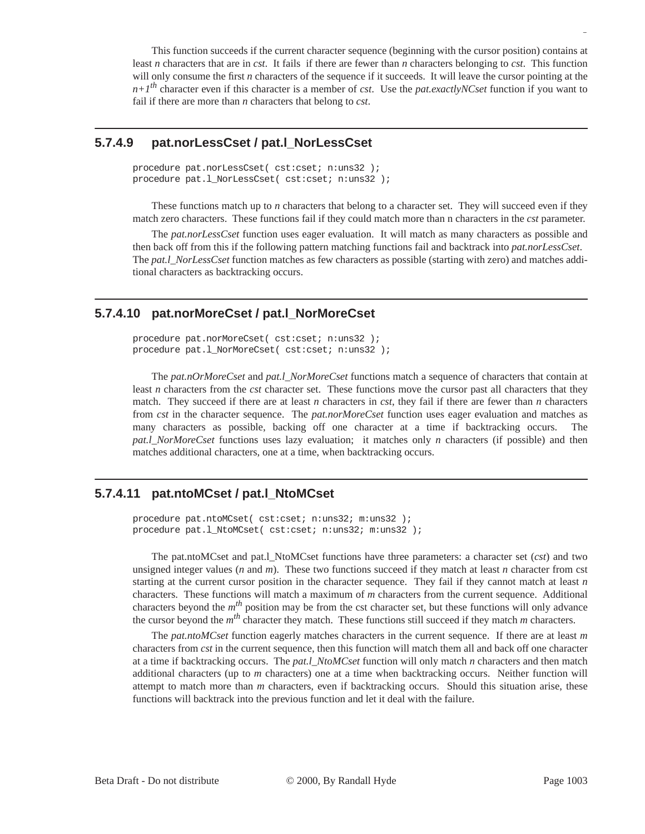This function succeeds if the current character sequence (beginning with the cursor position) contains at least *n* characters that are in *cst*. It fails if there are fewer than *n* characters belonging to *cst*. This function will only consume the first *n* characters of the sequence if it succeeds. It will leave the cursor pointing at the *n+1th* character even if this character is a member of *cst*. Use the *pat.exactlyNCset* function if you want to fail if there are more than *n* characters that belong to *cst*.

### **5.7.4.9 pat.norLessCset / pat.l\_NorLessCset**

```
procedure pat.norLessCset( cst:cset; n:uns32 );
procedure pat.l_NorLessCset( cst:cset; n:uns32 );
```
These functions match up to *n* characters that belong to a character set. They will succeed even if they match zero characters. These functions fail if they could match more than n characters in the *cst* parameter.

The *pat.norLessCset* function uses eager evaluation. It will match as many characters as possible and then back off from this if the following pattern matching functions fail and backtrack into *pat.norLessCset*. The *pat.l\_NorLessCset* function matches as few characters as possible (starting with zero) and matches additional characters as backtracking occurs.

## **5.7.4.10 pat.norMoreCset / pat.l\_NorMoreCset**

```
procedure pat.norMoreCset( cst:cset; n:uns32 );
procedure pat.l_NorMoreCset( cst:cset; n:uns32 );
```
The *pat.nOrMoreCset* and *pat.l\_NorMoreCset* functions match a sequence of characters that contain at least *n* characters from the *cst* character set. These functions move the cursor past all characters that they match. They succeed if there are at least *n* characters in *cst*, they fail if there are fewer than *n* characters from *cst* in the character sequence. The *pat.norMoreCset* function uses eager evaluation and matches as many characters as possible, backing off one character at a time if backtracking occurs. The *pat.l\_NorMoreCset* functions uses lazy evaluation; it matches only *n* characters (if possible) and then matches additional characters, one at a time, when backtracking occurs.

## **5.7.4.11 pat.ntoMCset / pat.l\_NtoMCset**

procedure pat.ntoMCset( cst:cset; n:uns32; m:uns32 ); procedure pat.l\_NtoMCset( cst:cset; n:uns32; m:uns32 );

The pat.ntoMCset and pat.l\_NtoMCset functions have three parameters: a character set (*cst*) and two unsigned integer values (*n* and *m*). These two functions succeed if they match at least *n* character from cst starting at the current cursor position in the character sequence. They fail if they cannot match at least *n* characters. These functions will match a maximum of *m* characters from the current sequence. Additional characters beyond the *mth* position may be from the cst character set, but these functions will only advance the cursor beyond the  $m<sup>th</sup>$  character they match. These functions still succeed if they match  $m$  characters.

The *pat.ntoMCset* function eagerly matches characters in the current sequence. If there are at least *m* characters from *cst* in the current sequence, then this function will match them all and back off one character at a time if backtracking occurs. The *pat.l\_NtoMCset* function will only match *n* characters and then match additional characters (up to *m* characters) one at a time when backtracking occurs. Neither function will attempt to match more than *m* characters, even if backtracking occurs. Should this situation arise, these functions will backtrack into the previous function and let it deal with the failure.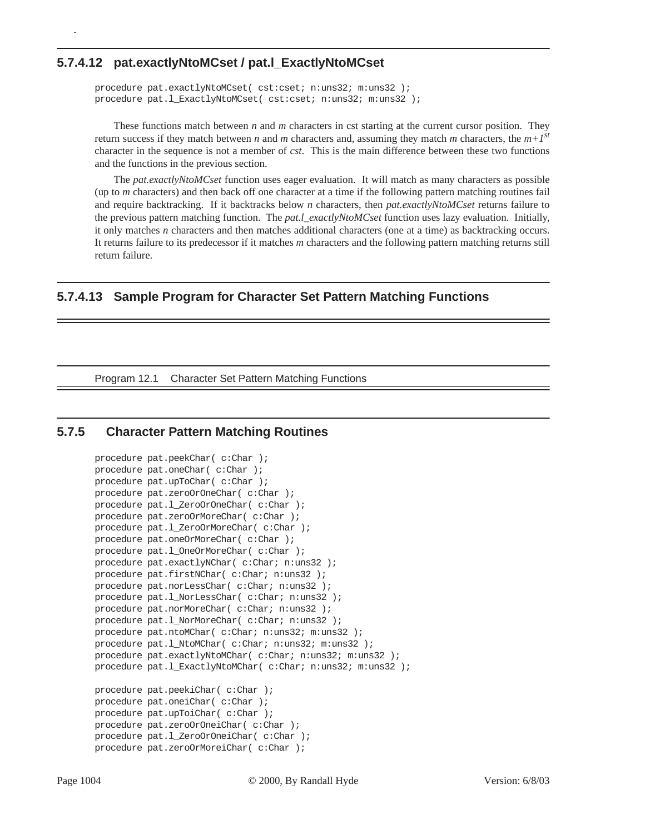#### **5.7.4.12 pat.exactlyNtoMCset / pat.l\_ExactlyNtoMCset**

p

```
procedure pat.exactlyNtoMCset( cst:cset; n:uns32; m:uns32 );
procedure pat.l_ExactlyNtoMCset( cst:cset; n:uns32; m:uns32 );
```
These functions match between *n* and *m* characters in cst starting at the current cursor position. They return success if they match between *n* and *m* characters and, assuming they match *m* characters, the  $m+1^{st}$ character in the sequence is not a member of *cst*. This is the main difference between these two functions and the functions in the previous section.

The *pat.exactlyNtoMCset* function uses eager evaluation. It will match as many characters as possible (up to *m* characters) and then back off one character at a time if the following pattern matching routines fail and require backtracking. If it backtracks below *n* characters, then *pat.exactlyNtoMCset* returns failure to the previous pattern matching function. The *pat.l\_exactlyNtoMCset* function uses lazy evaluation. Initially, it only matches *n* characters and then matches additional characters (one at a time) as backtracking occurs. It returns failure to its predecessor if it matches *m* characters and the following pattern matching returns still return failure.

### **5.7.4.13 Sample Program for Character Set Pattern Matching Functions**

Program 12.1 Character Set Pattern Matching Functions

#### **5.7.5 Character Pattern Matching Routines**

```
procedure pat.peekChar( c:Char );
procedure pat.oneChar( c:Char );
procedure pat.upToChar( c:Char );
procedure pat.zeroOrOneChar( c:Char );
procedure pat.l_ZeroOrOneChar( c:Char );
procedure pat.zeroOrMoreChar( c:Char );
procedure pat.l_ZeroOrMoreChar( c:Char );
procedure pat.oneOrMoreChar( c:Char );
procedure pat.l_OneOrMoreChar( c:Char );
procedure pat.exactlyNChar( c:Char; n:uns32 );
procedure pat.firstNChar( c:Char; n:uns32 );
procedure pat.norLessChar( c:Char; n:uns32 );
procedure pat.l_NorLessChar( c:Char; n:uns32 );
procedure pat.norMoreChar( c:Char; n:uns32 );
procedure pat.l_NorMoreChar( c:Char; n:uns32 );
procedure pat.ntoMChar( c:Char; n:uns32; m:uns32 );
procedure pat.l_NtoMChar( c:Char; n:uns32; m:uns32 );
procedure pat.exactlyNtoMChar( c:Char; n:uns32; m:uns32 );
procedure pat.l_ExactlyNtoMChar( c:Char; n:uns32; m:uns32 );
procedure pat.peekiChar( c:Char );
procedure pat.oneiChar( c:Char );
procedure pat.upToiChar( c:Char );
procedure pat.zeroOrOneiChar( c:Char );
procedure pat.l_ZeroOrOneiChar( c:Char );
procedure pat.zeroOrMoreiChar( c:Char );
```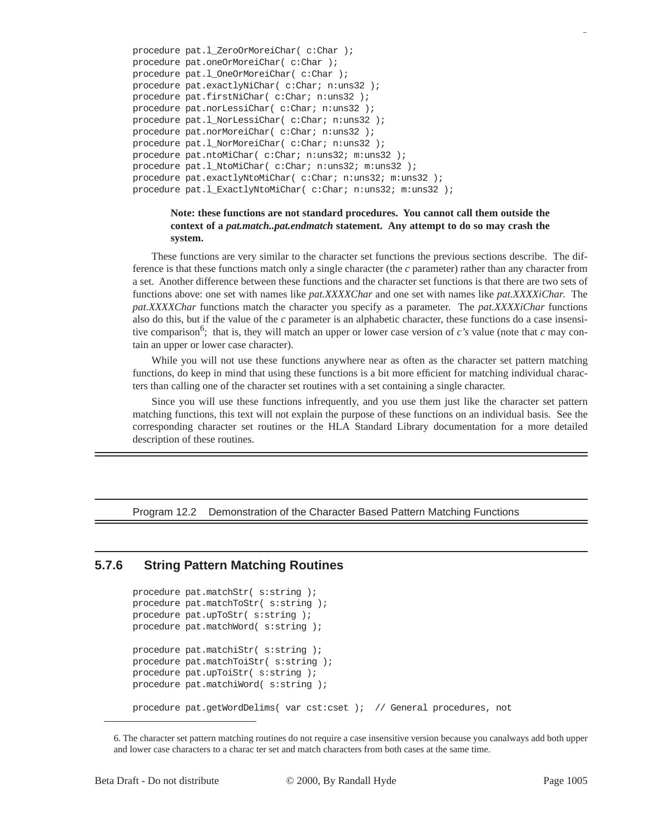```
procedure pat.l_ZeroOrMoreiChar( c:Char );
procedure pat.oneOrMoreiChar( c:Char );
procedure pat.l_OneOrMoreiChar( c:Char );
procedure pat.exactlyNiChar( c:Char; n:uns32 );
procedure pat.firstNiChar( c:Char; n:uns32 );
procedure pat.norLessiChar( c:Char; n:uns32 );
procedure pat.l_NorLessiChar( c:Char; n:uns32 );
procedure pat.norMoreiChar( c:Char; n:uns32 );
procedure pat.l_NorMoreiChar( c:Char; n:uns32 );
procedure pat.ntoMiChar( c:Char; n:uns32; m:uns32 );
procedure pat.l_NtoMiChar( c:Char; n:uns32; m:uns32 );
procedure pat.exactlyNtoMiChar( c:Char; n:uns32; m:uns32 );
procedure pat.l_ExactlyNtoMiChar( c:Char; n:uns32; m:uns32 );
```
#### **Note: these functions are not standard procedures. You cannot call them outside the context of a** *pat.match..pat.endmatch* **statement. Any attempt to do so may crash the system.**

These functions are very similar to the character set functions the previous sections describe. The difference is that these functions match only a single character (the *c* parameter) rather than any character from a set. Another difference between these functions and the character set functions is that there are two sets of functions above: one set with names like *pat.XXXXChar* and one set with names like *pat.XXXXiChar*. The *pat.XXXXChar* functions match the character you specify as a parameter. The *pat.XXXXiChar* functions also do this, but if the value of the *c* parameter is an alphabetic character, these functions do a case insensitive comparison<sup>6</sup>; that is, they will match an upper or lower case version of  $c$ 's value (note that  $c$  may contain an upper or lower case character).

While you will not use these functions anywhere near as often as the character set pattern matching functions, do keep in mind that using these functions is a bit more efficient for matching individual characters than calling one of the character set routines with a set containing a single character.

Since you will use these functions infrequently, and you use them just like the character set pattern matching functions, this text will not explain the purpose of these functions on an individual basis. See the corresponding character set routines or the HLA Standard Library documentation for a more detailed description of these routines.

Program 12.2 Demonstration of the Character Based Pattern Matching Functions

## **5.7.6 String Pattern Matching Routines**

```
procedure pat.matchStr( s:string );
procedure pat.matchToStr( s:string );
procedure pat.upToStr( s:string );
procedure pat.matchWord( s:string );
procedure pat.matchiStr( s:string );
procedure pat.matchToiStr( s:string );
procedure pat.upToiStr( s:string );
procedure pat.matchiWord( s:string );
procedure pat.getWordDelims( var cst:cset ); // General procedures, not
```
<sup>6.</sup> The character set pattern matching routines do not require a case insensitive version because you canalways add both upper and lower case characters to a charac ter set and match characters from both cases at the same time.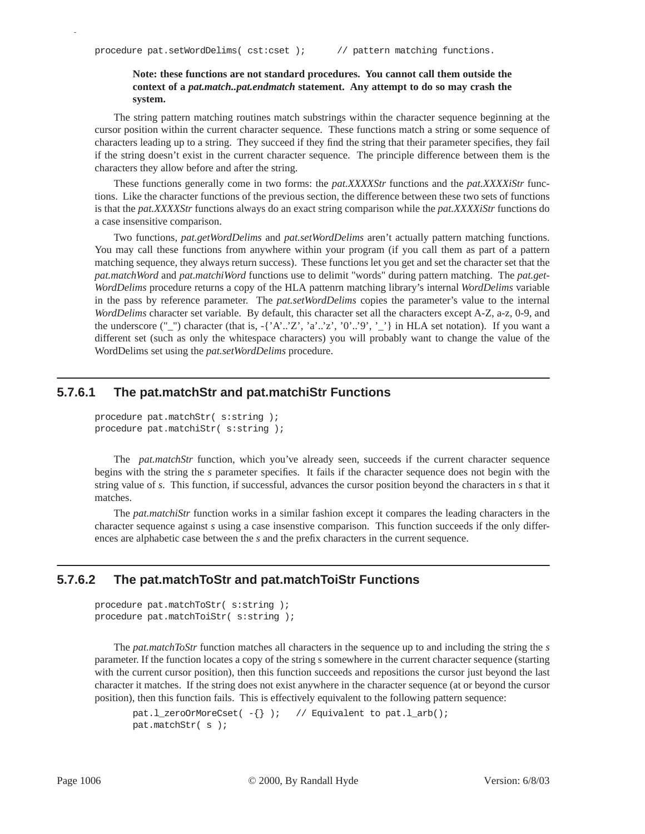p

#### **Note: these functions are not standard procedures. You cannot call them outside the context of a** *pat.match..pat.endmatch* **statement. Any attempt to do so may crash the system.**

The string pattern matching routines match substrings within the character sequence beginning at the cursor position within the current character sequence. These functions match a string or some sequence of characters leading up to a string. They succeed if they find the string that their parameter specifies, they fail if the string doesn't exist in the current character sequence. The principle difference between them is the characters they allow before and after the string.

These functions generally come in two forms: the *pat.XXXXStr* functions and the *pat.XXXXiStr* functions. Like the character functions of the previous section, the difference between these two sets of functions is that the *pat.XXXXStr* functions always do an exact string comparison while the *pat.XXXXiStr* functions do a case insensitive comparison.

Two functions, *pat.getWordDelims* and *pat.setWordDelims* aren't actually pattern matching functions. You may call these functions from anywhere within your program (if you call them as part of a pattern matching sequence, they always return success). These functions let you get and set the character set that the *pat.matchWord* and *pat.matchiWord* functions use to delimit "words" during pattern matching. The *pat.get-WordDelims* procedure returns a copy of the HLA pattenrn matching library's internal *WordDelims* variable in the pass by reference parameter. The *pat.setWordDelims* copies the parameter's value to the internal *WordDelims* character set variable. By default, this character set all the characters except A-Z, a-z, 0-9, and the underscore ("\_") character (that is, -{'A'..'Z', 'a'..'z', '0'..'9', '\_'} in HLA set notation). If you want a different set (such as only the whitespace characters) you will probably want to change the value of the WordDelims set using the *pat.setWordDelims* procedure.

#### **5.7.6.1 The pat.matchStr and pat.matchiStr Functions**

```
procedure pat.matchStr( s:string );
procedure pat.matchiStr( s:string );
```
The *pat.matchStr* function, which you've already seen, succeeds if the current character sequence begins with the string the *s* parameter specifies. It fails if the character sequence does not begin with the string value of *s*. This function, if successful, advances the cursor position beyond the characters in *s* that it matches.

The *pat.matchiStr* function works in a similar fashion except it compares the leading characters in the character sequence against *s* using a case insenstive comparison. This function succeeds if the only differences are alphabetic case between the *s* and the prefix characters in the current sequence.

#### **5.7.6.2 The pat.matchToStr and pat.matchToiStr Functions**

```
procedure pat.matchToStr( s:string );
procedure pat.matchToiStr( s:string );
```
The *pat.matchToStr* function matches all characters in the sequence up to and including the string the *s* parameter. If the function locates a copy of the string s somewhere in the current character sequence (starting with the current cursor position), then this function succeeds and repositions the cursor just beyond the last character it matches. If the string does not exist anywhere in the character sequence (at or beyond the cursor position), then this function fails. This is effectively equivalent to the following pattern sequence:

```
pat.l_zeroOrMoreCset(-\{\}); // Equivalent to pat.l_arb();
pat.matchStr( s );
```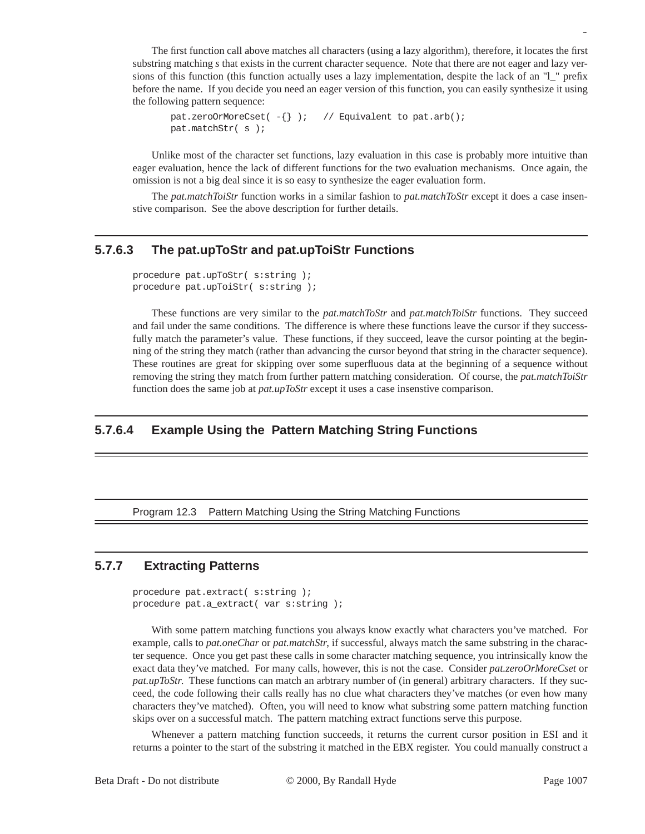The first function call above matches all characters (using a lazy algorithm), therefore, it locates the first substring matching *s* that exists in the current character sequence. Note that there are not eager and lazy versions of this function (this function actually uses a lazy implementation, despite the lack of an "l\_" prefix before the name. If you decide you need an eager version of this function, you can easily synthesize it using the following pattern sequence:

```
pat.zeroOrMoreCset(-\{\}); // Equivalent to pat.arb();
pat.matchStr( s );
```
Unlike most of the character set functions, lazy evaluation in this case is probably more intuitive than eager evaluation, hence the lack of different functions for the two evaluation mechanisms. Once again, the omission is not a big deal since it is so easy to synthesize the eager evaluation form.

The *pat.matchToiStr* function works in a similar fashion to *pat.matchToStr* except it does a case insenstive comparison. See the above description for further details.

### **5.7.6.3 The pat.upToStr and pat.upToiStr Functions**

```
procedure pat.upToStr( s:string );
procedure pat.upToiStr( s:string );
```
These functions are very similar to the *pat.matchToStr* and *pat.matchToiStr* functions. They succeed and fail under the same conditions. The difference is where these functions leave the cursor if they successfully match the parameter's value. These functions, if they succeed, leave the cursor pointing at the beginning of the string they match (rather than advancing the cursor beyond that string in the character sequence). These routines are great for skipping over some superfluous data at the beginning of a sequence without removing the string they match from further pattern matching consideration. Of course, the *pat.matchToiStr* function does the same job at *pat.upToStr* except it uses a case insenstive comparison.

## **5.7.6.4 Example Using the Pattern Matching String Functions**

#### Program 12.3 Pattern Matching Using the String Matching Functions

### **5.7.7 Extracting Patterns**

procedure pat.extract( s:string ); procedure pat.a\_extract( var s:string );

With some pattern matching functions you always know exactly what characters you've matched. For example, calls to *pat.oneChar* or *pat.matchStr*, if successful, always match the same substring in the character sequence. Once you get past these calls in some character matching sequence, you intrinsically know the exact data they've matched. For many calls, however, this is not the case. Consider *pat.zeroOrMoreCset* or *pat.upToStr.* These functions can match an arbtrary number of (in general) arbitrary characters. If they succeed, the code following their calls really has no clue what characters they've matches (or even how many characters they've matched). Often, you will need to know what substring some pattern matching function skips over on a successful match. The pattern matching extract functions serve this purpose.

Whenever a pattern matching function succeeds, it returns the current cursor position in ESI and it returns a pointer to the start of the substring it matched in the EBX register. You could manually construct a

Beta Draft - Do not distribute  $\degree$   $\degree$  2000, By Randall Hyde Page 1007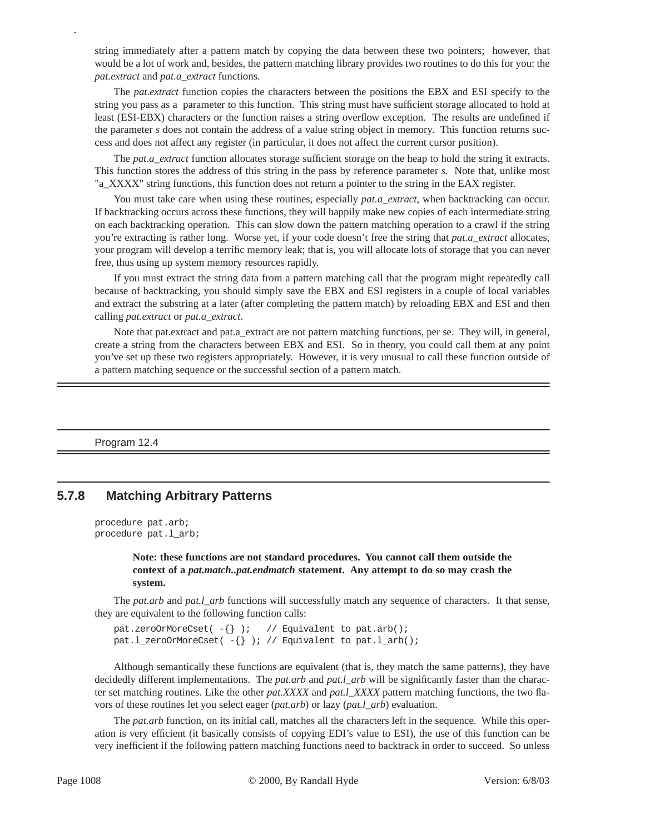string immediately after a pattern match by copying the data between these two pointers; however, that would be a lot of work and, besides, the pattern matching library provides two routines to do this for you: the *pat.extract* and *pat.a\_extract* functions.

The *pat.extract* function copies the characters between the positions the EBX and ESI specify to the string you pass as a parameter to this function. This string must have sufficient storage allocated to hold at least (ESI-EBX) characters or the function raises a string overflow exception. The results are undefined if the parameter *s* does not contain the address of a value string object in memory. This function returns success and does not affect any register (in particular, it does not affect the current cursor position).

The *pat.a\_extract* function allocates storage sufficient storage on the heap to hold the string it extracts. This function stores the address of this string in the pass by reference parameter *s*. Note that, unlike most "a\_XXXX" string functions, this function does not return a pointer to the string in the EAX register.

You must take care when using these routines, especially *pat.a extract*, when backtracking can occur. If backtracking occurs across these functions, they will happily make new copies of each intermediate string on each backtracking operation. This can slow down the pattern matching operation to a crawl if the string you're extracting is rather long. Worse yet, if your code doesn't free the string that *pat.a\_extract* allocates, your program will develop a terrific memory leak; that is, you will allocate lots of storage that you can never free, thus using up system memory resources rapidly.

If you must extract the string data from a pattern matching call that the program might repeatedly call because of backtracking, you should simply save the EBX and ESI registers in a couple of local variables and extract the substring at a later (after completing the pattern match) by reloading EBX and ESI and then calling *pat.extract* or *pat.a\_extract*.

Note that pat.extract and pat.a\_extract are not pattern matching functions, per se. They will, in general, create a string from the characters between EBX and ESI. So in theory, you could call them at any point you've set up these two registers appropriately. However, it is very unusual to call these function outside of a pattern matching sequence or the successful section of a pattern match.

Program 12.4

p

#### **5.7.8 Matching Arbitrary Patterns**

```
procedure pat.arb;
procedure pat.l_arb;
```
**Note: these functions are not standard procedures. You cannot call them outside the context of a** *pat.match..pat.endmatch* **statement. Any attempt to do so may crash the system.**

The *pat.arb* and *pat.l\_arb* functions will successfully match any sequence of characters. It that sense, they are equivalent to the following function calls:

```
pat.zeroOrMoreCset(-\{\}); // Equivalent to pat.arb();
pat.l_zeroOrMoreCset(-\{\}); // Equivalent to pat.l_arb();
```
Although semantically these functions are equivalent (that is, they match the same patterns), they have decidedly different implementations. The *pat.arb* and *pat.l\_arb* will be significantly faster than the character set matching routines. Like the other *pat.XXXX* and *pat.l\_XXXX* pattern matching functions, the two flavors of these routines let you select eager (*pat.arb*) or lazy (*pat.l\_arb*) evaluation.

The *pat.arb* function, on its initial call, matches all the characters left in the sequence. While this operation is very efficient (it basically consists of copying EDI's value to ESI), the use of this function can be very inefficient if the following pattern matching functions need to backtrack in order to succeed. So unless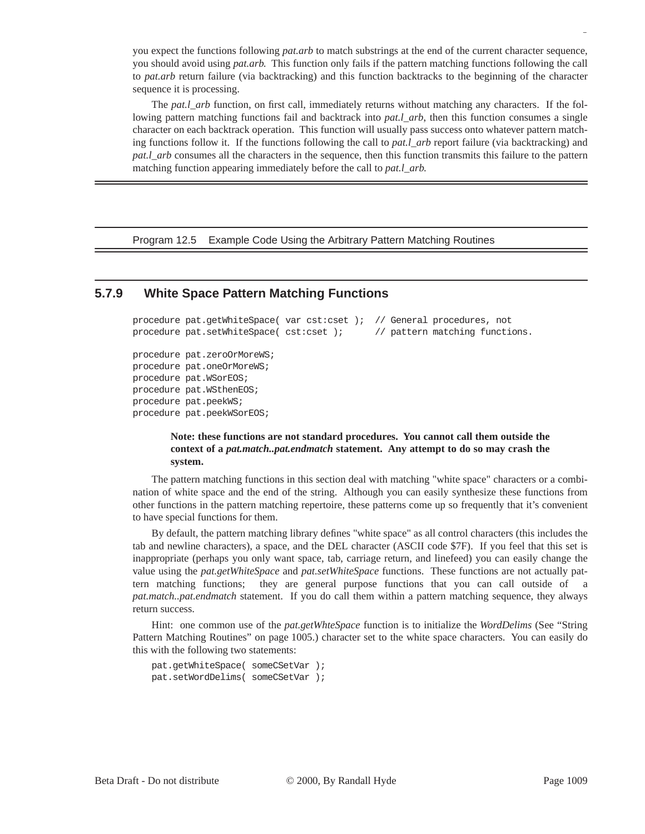you expect the functions following *pat.arb* to match substrings at the end of the current character sequence, you should avoid using *pat.arb*. This function only fails if the pattern matching functions following the call to *pat.arb* return failure (via backtracking) and this function backtracks to the beginning of the character sequence it is processing.

The *pat.l\_arb* function, on first call, immediately returns without matching any characters. If the following pattern matching functions fail and backtrack into *pat.l\_arb*, then this function consumes a single character on each backtrack operation. This function will usually pass success onto whatever pattern matching functions follow it. If the functions following the call to *pat.l\_arb* report failure (via backtracking) and *pat.l\_arb* consumes all the characters in the sequence, then this function transmits this failure to the pattern matching function appearing immediately before the call to *pat.l\_arb*.

Program 12.5 Example Code Using the Arbitrary Pattern Matching Routines

#### **5.7.9 White Space Pattern Matching Functions**

```
procedure pat.getWhiteSpace( var cst:cset ); // General procedures, not 
procedure pat.setWhiteSpace( cst:cset); // pattern matching functions.
procedure pat.zeroOrMoreWS;
procedure pat.oneOrMoreWS;
procedure pat.WSorEOS;
procedure pat.WSthenEOS;
procedure pat.peekWS;
procedure pat.peekWSorEOS;
```
#### **Note: these functions are not standard procedures. You cannot call them outside the context of a** *pat.match..pat.endmatch* **statement. Any attempt to do so may crash the system.**

The pattern matching functions in this section deal with matching "white space" characters or a combination of white space and the end of the string. Although you can easily synthesize these functions from other functions in the pattern matching repertoire, these patterns come up so frequently that it's convenient to have special functions for them.

By default, the pattern matching library defines "white space" as all control characters (this includes the tab and newline characters), a space, and the DEL character (ASCII code \$7F). If you feel that this set is inappropriate (perhaps you only want space, tab, carriage return, and linefeed) you can easily change the value using the *pat.getWhiteSpace* and *pat.setWhiteSpace* functions. These functions are not actually pattern matching functions; they are general purpose functions that you can call outside of a *pat.match..pat.endmatch* statement. If you do call them within a pattern matching sequence, they always return success.

Hint: one common use of the *pat.getWhteSpace* function is to initialize the *WordDelims* (See "String Pattern Matching Routines" on page 1005.) character set to the white space characters. You can easily do this with the following two statements:

```
pat.getWhiteSpace( someCSetVar );
pat.setWordDelims( someCSetVar );
```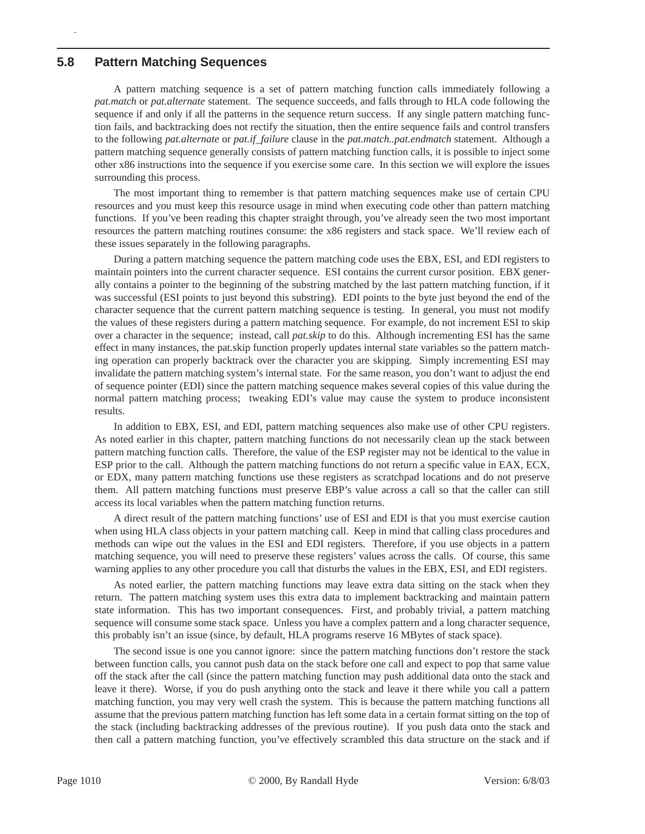#### **5.8 Pattern Matching Sequences**

p

A pattern matching sequence is a set of pattern matching function calls immediately following a *pat.match* or *pat.alternate* statement. The sequence succeeds, and falls through to HLA code following the sequence if and only if all the patterns in the sequence return success. If any single pattern matching function fails, and backtracking does not rectify the situation, then the entire sequence fails and control transfers to the following *pat.alternate* or *pat.if\_failure* clause in the *pat.match..pat.endmatch* statement. Although a pattern matching sequence generally consists of pattern matching function calls, it is possible to inject some other x86 instructions into the sequence if you exercise some care. In this section we will explore the issues surrounding this process.

The most important thing to remember is that pattern matching sequences make use of certain CPU resources and you must keep this resource usage in mind when executing code other than pattern matching functions. If you've been reading this chapter straight through, you've already seen the two most important resources the pattern matching routines consume: the x86 registers and stack space. We'll review each of these issues separately in the following paragraphs.

During a pattern matching sequence the pattern matching code uses the EBX, ESI, and EDI registers to maintain pointers into the current character sequence. ESI contains the current cursor position. EBX generally contains a pointer to the beginning of the substring matched by the last pattern matching function, if it was successful (ESI points to just beyond this substring). EDI points to the byte just beyond the end of the character sequence that the current pattern matching sequence is testing. In general, you must not modify the values of these registers during a pattern matching sequence. For example, do not increment ESI to skip over a character in the sequence; instead, call *pat.skip* to do this. Although incrementing ESI has the same effect in many instances, the pat.skip function properly updates internal state variables so the pattern matching operation can properly backtrack over the character you are skipping. Simply incrementing ESI may invalidate the pattern matching system's internal state. For the same reason, you don't want to adjust the end of sequence pointer (EDI) since the pattern matching sequence makes several copies of this value during the normal pattern matching process; tweaking EDI's value may cause the system to produce inconsistent results.

In addition to EBX, ESI, and EDI, pattern matching sequences also make use of other CPU registers. As noted earlier in this chapter, pattern matching functions do not necessarily clean up the stack between pattern matching function calls. Therefore, the value of the ESP register may not be identical to the value in ESP prior to the call. Although the pattern matching functions do not return a specific value in EAX, ECX, or EDX, many pattern matching functions use these registers as scratchpad locations and do not preserve them. All pattern matching functions must preserve EBP's value across a call so that the caller can still access its local variables when the pattern matching function returns.

A direct result of the pattern matching functions' use of ESI and EDI is that you must exercise caution when using HLA class objects in your pattern matching call. Keep in mind that calling class procedures and methods can wipe out the values in the ESI and EDI registers. Therefore, if you use objects in a pattern matching sequence, you will need to preserve these registers' values across the calls. Of course, this same warning applies to any other procedure you call that disturbs the values in the EBX, ESI, and EDI registers.

As noted earlier, the pattern matching functions may leave extra data sitting on the stack when they return. The pattern matching system uses this extra data to implement backtracking and maintain pattern state information. This has two important consequences. First, and probably trivial, a pattern matching sequence will consume some stack space. Unless you have a complex pattern and a long character sequence, this probably isn't an issue (since, by default, HLA programs reserve 16 MBytes of stack space).

The second issue is one you cannot ignore: since the pattern matching functions don't restore the stack between function calls, you cannot push data on the stack before one call and expect to pop that same value off the stack after the call (since the pattern matching function may push additional data onto the stack and leave it there). Worse, if you do push anything onto the stack and leave it there while you call a pattern matching function, you may very well crash the system. This is because the pattern matching functions all assume that the previous pattern matching function has left some data in a certain format sitting on the top of the stack (including backtracking addresses of the previous routine). If you push data onto the stack and then call a pattern matching function, you've effectively scrambled this data structure on the stack and if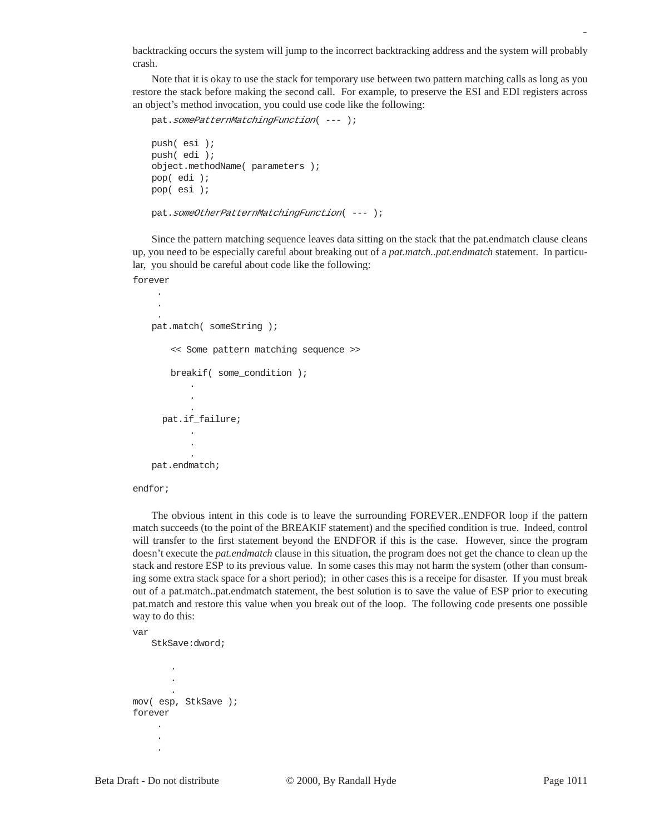backtracking occurs the system will jump to the incorrect backtracking address and the system will probably crash.

Note that it is okay to use the stack for temporary use between two pattern matching calls as long as you restore the stack before making the second call. For example, to preserve the ESI and EDI registers across an object's method invocation, you could use code like the following:

```
pat.somePatternMatchingFunction( --- );
push( esi );
push( edi );
object.methodName( parameters );
pop( edi );
pop( esi );
```
pat.someOtherPatternMatchingFunction( --- );

Since the pattern matching sequence leaves data sitting on the stack that the pat.endmatch clause cleans up, you need to be especially careful about breaking out of a *pat.match..pat.endmatch* statement. In particular, you should be careful about code like the following:

forever .

```
 .
 .
pat.match( someString );
    << Some pattern matching sequence >>
    breakif( some_condition );
        .
        .
        .
   pat.if_failure;
        .
        .
        .
pat.endmatch;
```
endfor;

The obvious intent in this code is to leave the surrounding FOREVER..ENDFOR loop if the pattern match succeeds (to the point of the BREAKIF statement) and the specified condition is true. Indeed, control will transfer to the first statement beyond the ENDFOR if this is the case. However, since the program doesn't execute the *pat.endmatch* clause in this situation, the program does not get the chance to clean up the stack and restore ESP to its previous value. In some cases this may not harm the system (other than consuming some extra stack space for a short period); in other cases this is a receipe for disaster. If you must break out of a pat.match..pat.endmatch statement, the best solution is to save the value of ESP prior to executing pat.match and restore this value when you break out of the loop. The following code presents one possible way to do this:

var

StkSave:dword;

```
.
         .
        .
mov( esp, StkSave );
forever
     .
       .
       .
```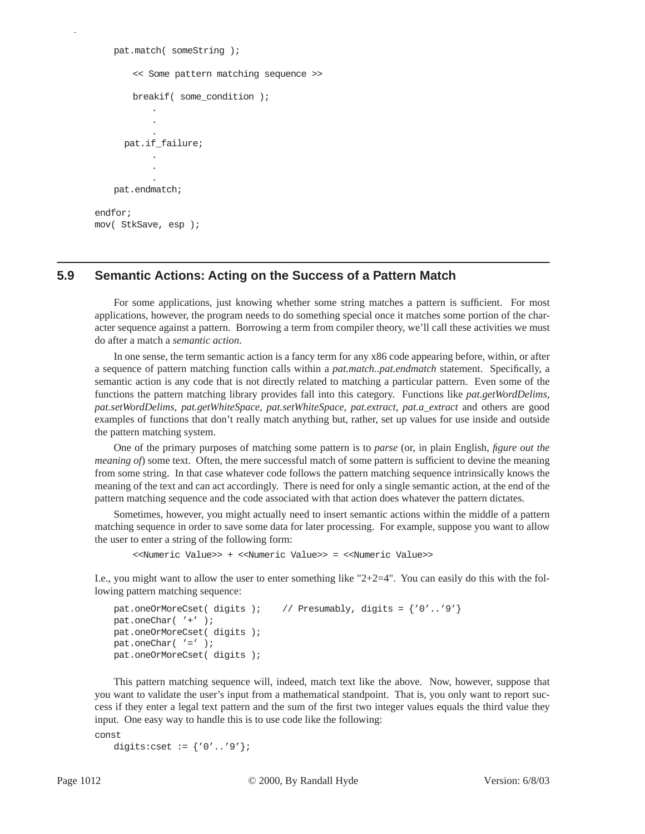```
pat.match( someString );
       << Some pattern matching sequence >>
       breakif( some_condition );
           .
           .
           .
      pat.if_failure;
           .
           .
           .
   pat.endmatch;
endfor;
mov( StkSave, esp );
```
### **5.9 Semantic Actions: Acting on the Success of a Pattern Match**

For some applications, just knowing whether some string matches a pattern is sufficient. For most applications, however, the program needs to do something special once it matches some portion of the character sequence against a pattern. Borrowing a term from compiler theory, we'll call these activities we must do after a match a *semantic action*.

In one sense, the term semantic action is a fancy term for any x86 code appearing before, within, or after a sequence of pattern matching function calls within a *pat.match..pat.endmatch* statement. Specifically, a semantic action is any code that is not directly related to matching a particular pattern. Even some of the functions the pattern matching library provides fall into this category. Functions like *pat.getWordDelims, pat.setWordDelims, pat.getWhiteSpace, pat.setWhiteSpace, pat.extract, pat.a\_extract* and others are good examples of functions that don't really match anything but, rather, set up values for use inside and outside the pattern matching system.

One of the primary purposes of matching some pattern is to *parse* (or, in plain English, *figure out the meaning of*) some text. Often, the mere successful match of some pattern is sufficient to devine the meaning from some string. In that case whatever code follows the pattern matching sequence intrinsically knows the meaning of the text and can act accordingly. There is need for only a single semantic action, at the end of the pattern matching sequence and the code associated with that action does whatever the pattern dictates.

Sometimes, however, you might actually need to insert semantic actions within the middle of a pattern matching sequence in order to save some data for later processing. For example, suppose you want to allow the user to enter a string of the following form:

```
<<Numeric Value>> + <<Numeric Value>> = <<Numeric Value>>
```
I.e., you might want to allow the user to enter something like " $2+2=4$ ". You can easily do this with the following pattern matching sequence:

```
pat.oneOrMoreCset( digits ); // Presumably, digits = \{ '0'..'9' \}pat.oneChar( '+' );
pat.oneOrMoreCset( digits );
pat.oneChar( '=' );
pat.oneOrMoreCset( digits );
```
This pattern matching sequence will, indeed, match text like the above. Now, however, suppose that you want to validate the user's input from a mathematical standpoint. That is, you only want to report success if they enter a legal text pattern and the sum of the first two integer values equals the third value they input. One easy way to handle this is to use code like the following:

```
const
```

```
digits:cset := \{0' \ldots 9'\};
```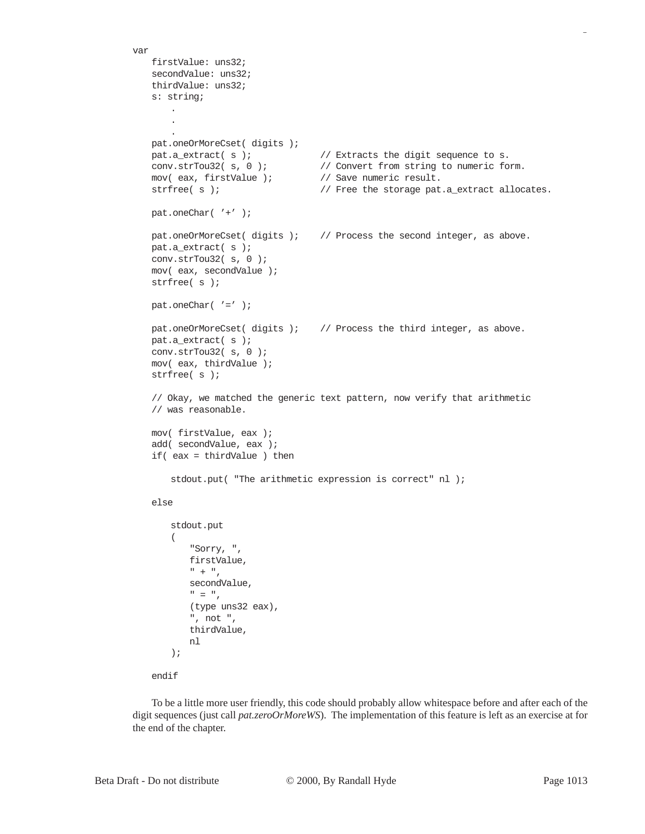```
var
   firstValue: uns32;
   secondValue: uns32;
   thirdValue: uns32;
   s: string;
       .
       .
       .
   pat.oneOrMoreCset( digits );
   pat.a_extract( s ); \frac{1}{2} // Extracts the digit sequence to s.
   conv.strTou32( s, 0 ); // Convert from string to numeric form.
   mov( eax, firstValue ); \frac{1}{2} // Save numeric result.
   strfree( s ); \frac{1}{2} // Free the storage pat.a_extract allocates.
   pat.oneChar( '+' );
   pat.oneOrMoreCset( digits ); // Process the second integer, as above.
   pat.a extract( s );
   conv.strTou32( s, 0 );
   mov( eax, secondValue );
   strfree( s );
   pat.oneChar('=' );
   pat.oneOrMoreCset( digits ); // Process the third integer, as above.
   pat.a_extract( s );
   conv.strTou32( s, 0 );
   mov( eax, thirdValue );
   strfree( s );
   // Okay, we matched the generic text pattern, now verify that arithmetic
   // was reasonable.
   mov( firstValue, eax );
   add( secondValue, eax );
   if( eax = thirdValue ) then
       stdout.put( "The arithmetic expression is correct" nl );
   else
       stdout.put
       ( 
          "Sorry, ", 
          firstValue, 
          " + "secondValue, 
           " = "(type uns32 eax),
          ", not ",
          thirdValue,
          nl
       );
   endif
```
To be a little more user friendly, this code should probably allow whitespace before and after each of the digit sequences (just call *pat.zeroOrMoreWS*). The implementation of this feature is left as an exercise at for the end of the chapter.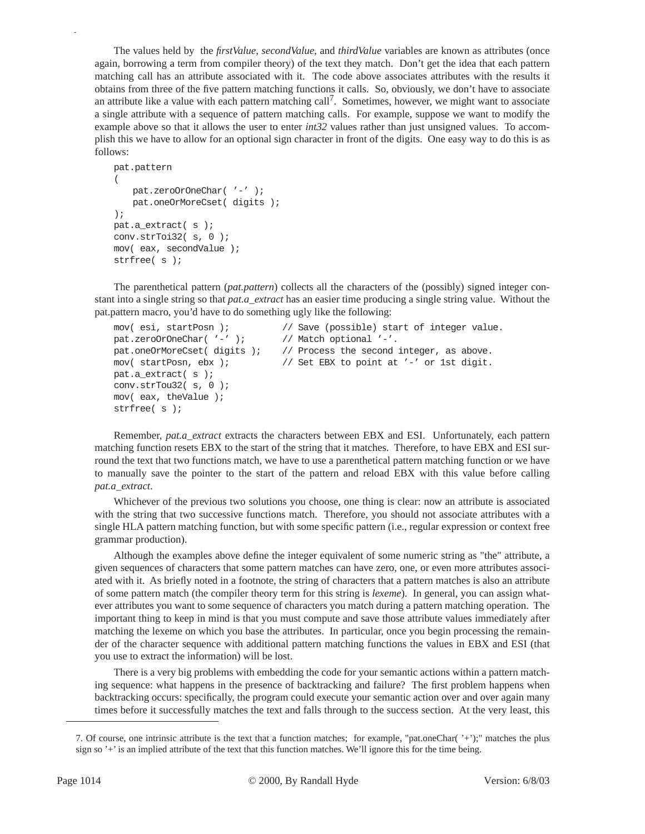The values held by the *firstValue*, *secondValue*, and *thirdValue* variables are known as attributes (once again, borrowing a term from compiler theory) of the text they match. Don't get the idea that each pattern matching call has an attribute associated with it. The code above associates attributes with the results it obtains from three of the five pattern matching functions it calls. So, obviously, we don't have to associate an attribute like a value with each pattern matching call<sup>7</sup>. Sometimes, however, we might want to associate a single attribute with a sequence of pattern matching calls. For example, suppose we want to modify the example above so that it allows the user to enter *int32* values rather than just unsigned values. To accomplish this we have to allow for an optional sign character in front of the digits. One easy way to do this is as follows:

```
pat.pattern
(
   pat.zeroOrOneChar('-');
   pat.oneOrMoreCset( digits );
);
pat.a extract( s );
conv.strToi32( s, 0 );
mov( eax, secondValue );
strfree( s );
```
The parenthetical pattern (*pat.pattern*) collects all the characters of the (possibly) signed integer constant into a single string so that *pat.a\_extract* has an easier time producing a single string value. Without the pat.pattern macro, you'd have to do something ugly like the following:

```
mov( esi, startPosn ); // Save (possible) start of integer value.
pat.zeroOrOneChar( '-' ); // Match optional '-'.
pat.oneOrMoreCset( digits ); // Process the second integer, as above.
mov( startPosn, ebx ); // Set EBX to point at '-' or 1st digit.
pat.a_extract( s );
conv.strTou32( s, 0 );
mov( eax, theValue );
strfree( s );
```
Remember, *pat.a\_extract* extracts the characters between EBX and ESI. Unfortunately, each pattern matching function resets EBX to the start of the string that it matches. Therefore, to have EBX and ESI surround the text that two functions match, we have to use a parenthetical pattern matching function or we have to manually save the pointer to the start of the pattern and reload EBX with this value before calling *pat.a\_extract*.

Whichever of the previous two solutions you choose, one thing is clear: now an attribute is associated with the string that two successive functions match. Therefore, you should not associate attributes with a single HLA pattern matching function, but with some specific pattern (i.e., regular expression or context free grammar production).

Although the examples above define the integer equivalent of some numeric string as "the" attribute, a given sequences of characters that some pattern matches can have zero, one, or even more attributes associated with it. As briefly noted in a footnote, the string of characters that a pattern matches is also an attribute of some pattern match (the compiler theory term for this string is *lexeme*). In general, you can assign whatever attributes you want to some sequence of characters you match during a pattern matching operation. The important thing to keep in mind is that you must compute and save those attribute values immediately after matching the lexeme on which you base the attributes. In particular, once you begin processing the remainder of the character sequence with additional pattern matching functions the values in EBX and ESI (that you use to extract the information) will be lost.

There is a very big problems with embedding the code for your semantic actions within a pattern matching sequence: what happens in the presence of backtracking and failure? The first problem happens when backtracking occurs: specifically, the program could execute your semantic action over and over again many times before it successfully matches the text and falls through to the success section. At the very least, this

<sup>7.</sup> Of course, one intrinsic attribute is the text that a function matches; for example, "pat.oneChar( '+');" matches the plus sign so '+' is an implied attribute of the text that this function matches. We'll ignore this for the time being.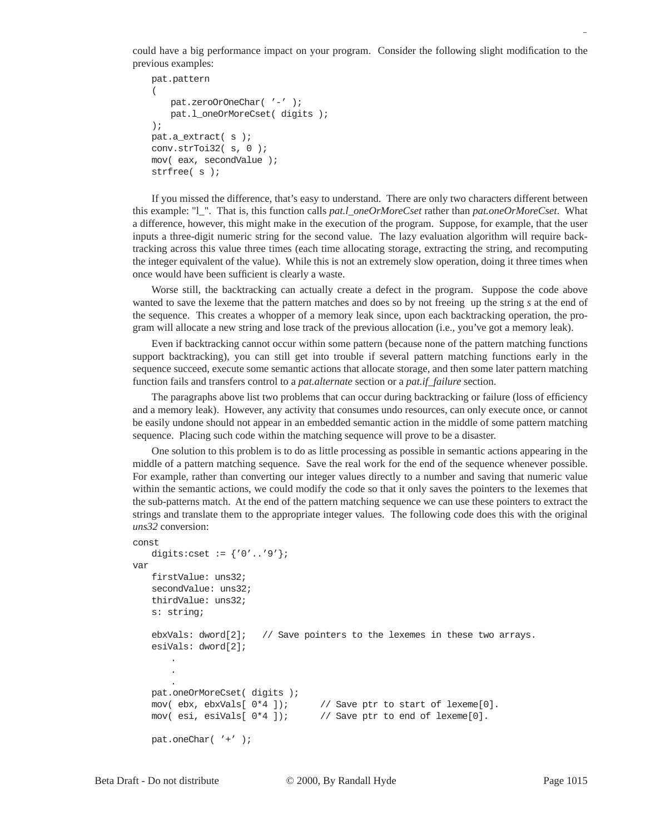could have a big performance impact on your program. Consider the following slight modification to the previous examples:

```
pat.pattern
(
   pat.zeroOrOneChar( '-' );
   pat.l_oneOrMoreCset( digits );
);
pat.a_extract( s );
conv.strToi32( s, 0 );
mov( eax, secondValue );
strfree( s );
```
If you missed the difference, that's easy to understand. There are only two characters different between this example: "l\_". That is, this function calls *pat.l\_oneOrMoreCset* rather than *pat.oneOrMoreCset*. What a difference, however, this might make in the execution of the program. Suppose, for example, that the user inputs a three-digit numeric string for the second value. The lazy evaluation algorithm will require backtracking across this value three times (each time allocating storage, extracting the string, and recomputing the integer equivalent of the value). While this is not an extremely slow operation, doing it three times when once would have been sufficient is clearly a waste.

Worse still, the backtracking can actually create a defect in the program. Suppose the code above wanted to save the lexeme that the pattern matches and does so by not freeing up the string *s* at the end of the sequence. This creates a whopper of a memory leak since, upon each backtracking operation, the program will allocate a new string and lose track of the previous allocation (i.e., you've got a memory leak).

Even if backtracking cannot occur within some pattern (because none of the pattern matching functions support backtracking), you can still get into trouble if several pattern matching functions early in the sequence succeed, execute some semantic actions that allocate storage, and then some later pattern matching function fails and transfers control to a *pat.alternate* section or a *pat.if\_failure* section.

The paragraphs above list two problems that can occur during backtracking or failure (loss of efficiency and a memory leak). However, any activity that consumes undo resources, can only execute once, or cannot be easily undone should not appear in an embedded semantic action in the middle of some pattern matching sequence. Placing such code within the matching sequence will prove to be a disaster.

One solution to this problem is to do as little processing as possible in semantic actions appearing in the middle of a pattern matching sequence. Save the real work for the end of the sequence whenever possible. For example, rather than converting our integer values directly to a number and saving that numeric value within the semantic actions, we could modify the code so that it only saves the pointers to the lexemes that the sub-patterns match. At the end of the pattern matching sequence we can use these pointers to extract the strings and translate them to the appropriate integer values. The following code does this with the original *uns32* conversion:

```
const
   digits:cset := {'0'..'9'};
var
   firstValue: uns32;
   secondValue: uns32;
   thirdValue: uns32;
   s: string;
   ebxVals: dword[2]; // Save pointers to the lexemes in these two arrays.
   esiVals: dword[2];
       .
       .
       .
   pat.oneOrMoreCset( digits );
   mov( ebx, ebxVals[ 0*4 ]); // Save ptr to start of lexeme[0].
   mov( esi, esiVals[ 0*4 ]); // Save ptr to end of lexeme[0].
   pat.oneChar( '+' );
```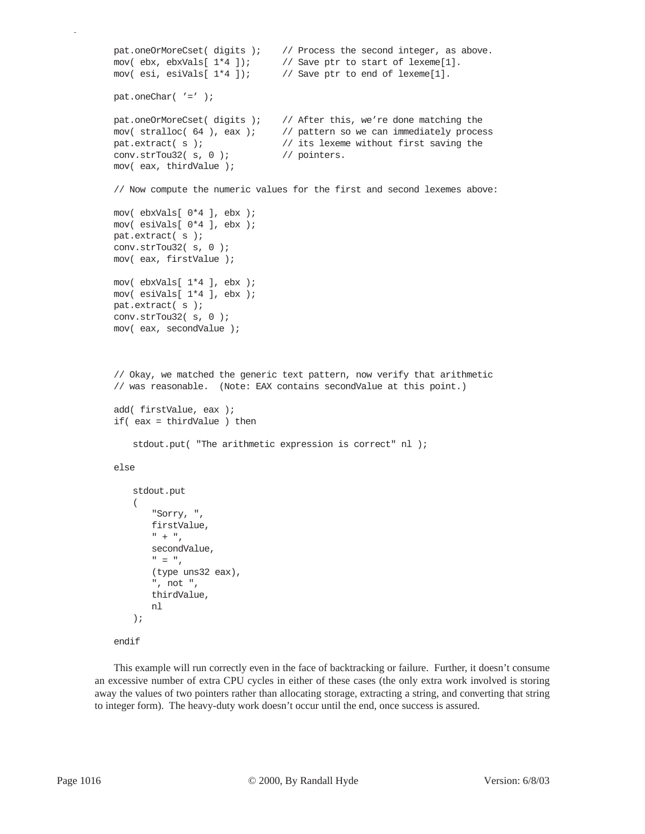```
pat.oneOrMoreCset( digits ); // Process the second integer, as above.
mov( ebx, ebxVals[ 1*4 ]); // Save ptr to start of lexeme[1].
mov( esi, esiVals[ 1*4 ]); // Save ptr to end of lexeme[1].
pat.oneChar('=' );
pat.oneOrMoreCset( digits ); // After this, we're done matching the
mov( stralloc( 64 ), eax ); // pattern so we can immediately process
pat.extract( s ); // its lexeme without first saving the
conv.strTou32( s, 0 ); // pointers.
mov( eax, thirdValue );
// Now compute the numeric values for the first and second lexemes above:
mov( ebxVals[ 0*4 ], ebx );
mov( esiVals[ 0*4 ], ebx );
pat.extract( s );
conv.strTou32( s, 0 );
mov( eax, firstValue );
mov( ebxVals[ 1*4 ], ebx );
mov( esiVals[ 1*4 ], ebx );
pat.extract( s );
conv.strTou32( s, 0 );
mov( eax, secondValue );
// Okay, we matched the generic text pattern, now verify that arithmetic
// was reasonable. (Note: EAX contains secondValue at this point.)
add( firstValue, eax );
if( eax = thirdValue ) then
   stdout.put( "The arithmetic expression is correct" nl );
else
   stdout.put
   ( 
       "Sorry, ", 
       firstValue, 
       " + "secondValue, 
       " = "(type uns32 eax),
       ", not ",
       thirdValue,
       nl
   );
endif
```
This example will run correctly even in the face of backtracking or failure. Further, it doesn't consume an excessive number of extra CPU cycles in either of these cases (the only extra work involved is storing away the values of two pointers rather than allocating storage, extracting a string, and converting that string to integer form). The heavy-duty work doesn't occur until the end, once success is assured.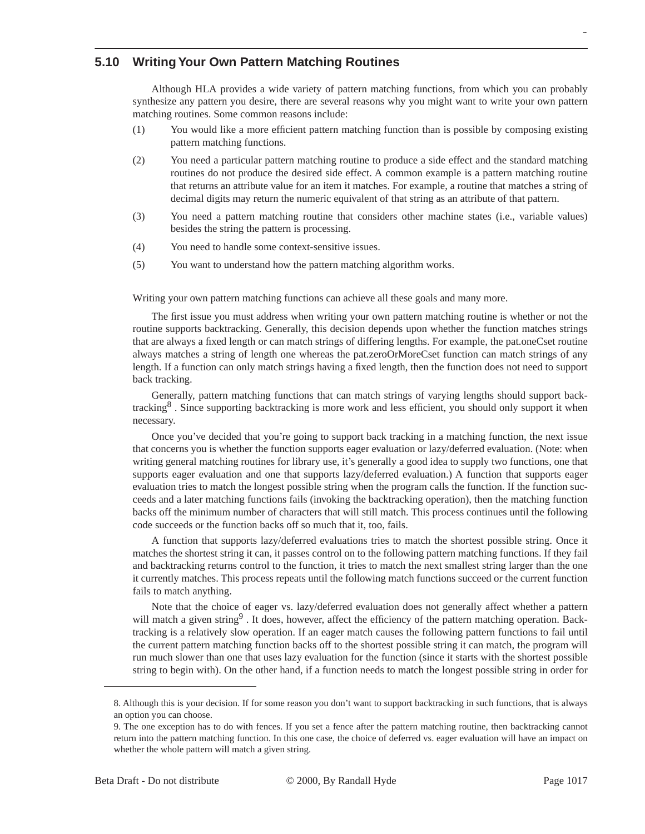#### **5.10 Writing Your Own Pattern Matching Routines**

Although HLA provides a wide variety of pattern matching functions, from which you can probably synthesize any pattern you desire, there are several reasons why you might want to write your own pattern matching routines. Some common reasons include:

- (1) You would like a more efficient pattern matching function than is possible by composing existing pattern matching functions.
- (2) You need a particular pattern matching routine to produce a side effect and the standard matching routines do not produce the desired side effect. A common example is a pattern matching routine that returns an attribute value for an item it matches. For example, a routine that matches a string of decimal digits may return the numeric equivalent of that string as an attribute of that pattern.
- (3) You need a pattern matching routine that considers other machine states (i.e., variable values) besides the string the pattern is processing.
- (4) You need to handle some context-sensitive issues.
- (5) You want to understand how the pattern matching algorithm works.

Writing your own pattern matching functions can achieve all these goals and many more.

The first issue you must address when writing your own pattern matching routine is whether or not the routine supports backtracking. Generally, this decision depends upon whether the function matches strings that are always a fixed length or can match strings of differing lengths. For example, the pat.oneCset routine always matches a string of length one whereas the pat.zeroOrMoreCset function can match strings of any length. If a function can only match strings having a fixed length, then the function does not need to support back tracking.

Generally, pattern matching functions that can match strings of varying lengths should support backtracking<sup>8</sup>. Since supporting backtracking is more work and less efficient, you should only support it when necessary.

Once you've decided that you're going to support back tracking in a matching function, the next issue that concerns you is whether the function supports eager evaluation or lazy/deferred evaluation. (Note: when writing general matching routines for library use, it's generally a good idea to supply two functions, one that supports eager evaluation and one that supports lazy/deferred evaluation.) A function that supports eager evaluation tries to match the longest possible string when the program calls the function. If the function succeeds and a later matching functions fails (invoking the backtracking operation), then the matching function backs off the minimum number of characters that will still match. This process continues until the following code succeeds or the function backs off so much that it, too, fails.

A function that supports lazy/deferred evaluations tries to match the shortest possible string. Once it matches the shortest string it can, it passes control on to the following pattern matching functions. If they fail and backtracking returns control to the function, it tries to match the next smallest string larger than the one it currently matches. This process repeats until the following match functions succeed or the current function fails to match anything.

Note that the choice of eager vs. lazy/deferred evaluation does not generally affect whether a pattern will match a given string<sup>9</sup>. It does, however, affect the efficiency of the pattern matching operation. Backtracking is a relatively slow operation. If an eager match causes the following pattern functions to fail until the current pattern matching function backs off to the shortest possible string it can match, the program will run much slower than one that uses lazy evaluation for the function (since it starts with the shortest possible string to begin with). On the other hand, if a function needs to match the longest possible string in order for

<sup>8.</sup> Although this is your decision. If for some reason you don't want to support backtracking in such functions, that is always an option you can choose.

<sup>9.</sup> The one exception has to do with fences. If you set a fence after the pattern matching routine, then backtracking cannot return into the pattern matching function. In this one case, the choice of deferred vs. eager evaluation will have an impact on whether the whole pattern will match a given string.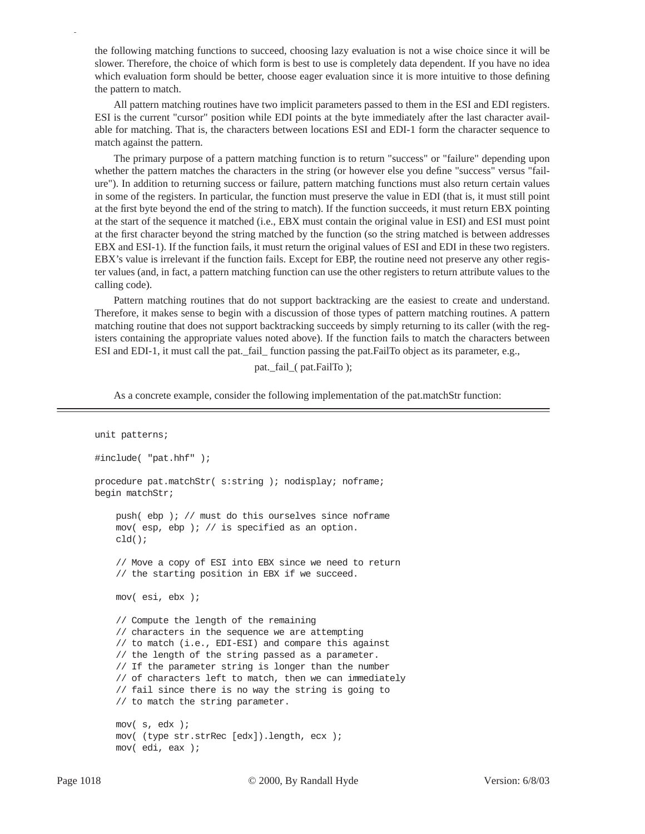the following matching functions to succeed, choosing lazy evaluation is not a wise choice since it will be slower. Therefore, the choice of which form is best to use is completely data dependent. If you have no idea which evaluation form should be better, choose eager evaluation since it is more intuitive to those defining the pattern to match.

All pattern matching routines have two implicit parameters passed to them in the ESI and EDI registers. ESI is the current "cursor" position while EDI points at the byte immediately after the last character available for matching. That is, the characters between locations ESI and EDI-1 form the character sequence to match against the pattern.

The primary purpose of a pattern matching function is to return "success" or "failure" depending upon whether the pattern matches the characters in the string (or however else you define "success" versus "failure"). In addition to returning success or failure, pattern matching functions must also return certain values in some of the registers. In particular, the function must preserve the value in EDI (that is, it must still point at the first byte beyond the end of the string to match). If the function succeeds, it must return EBX pointing at the start of the sequence it matched (i.e., EBX must contain the original value in ESI) and ESI must point at the first character beyond the string matched by the function (so the string matched is between addresses EBX and ESI-1). If the function fails, it must return the original values of ESI and EDI in these two registers. EBX's value is irrelevant if the function fails. Except for EBP, the routine need not preserve any other register values (and, in fact, a pattern matching function can use the other registers to return attribute values to the calling code).

Pattern matching routines that do not support backtracking are the easiest to create and understand. Therefore, it makes sense to begin with a discussion of those types of pattern matching routines. A pattern matching routine that does not support backtracking succeeds by simply returning to its caller (with the registers containing the appropriate values noted above). If the function fails to match the characters between ESI and EDI-1, it must call the pat.\_fail\_ function passing the pat.FailTo object as its parameter, e.g.,

pat.\_fail\_( pat.FailTo );

As a concrete example, consider the following implementation of the pat.matchStr function:

```
unit patterns;
#include( "pat.hhf" );
procedure pat.matchStr( s:string ); nodisplay; noframe;
begin matchStr;
     push( ebp ); // must do this ourselves since noframe
     mov( esp, ebp ); // is specified as an option.
     cld();
     // Move a copy of ESI into EBX since we need to return
     // the starting position in EBX if we succeed.
     mov( esi, ebx );
     // Compute the length of the remaining
     // characters in the sequence we are attempting
     // to match (i.e., EDI-ESI) and compare this against
     // the length of the string passed as a parameter.
     // If the parameter string is longer than the number
     // of characters left to match, then we can immediately
     // fail since there is no way the string is going to
     // to match the string parameter.
     mov( s, edx );
     mov( (type str.strRec [edx]).length, ecx );
     mov( edi, eax );
```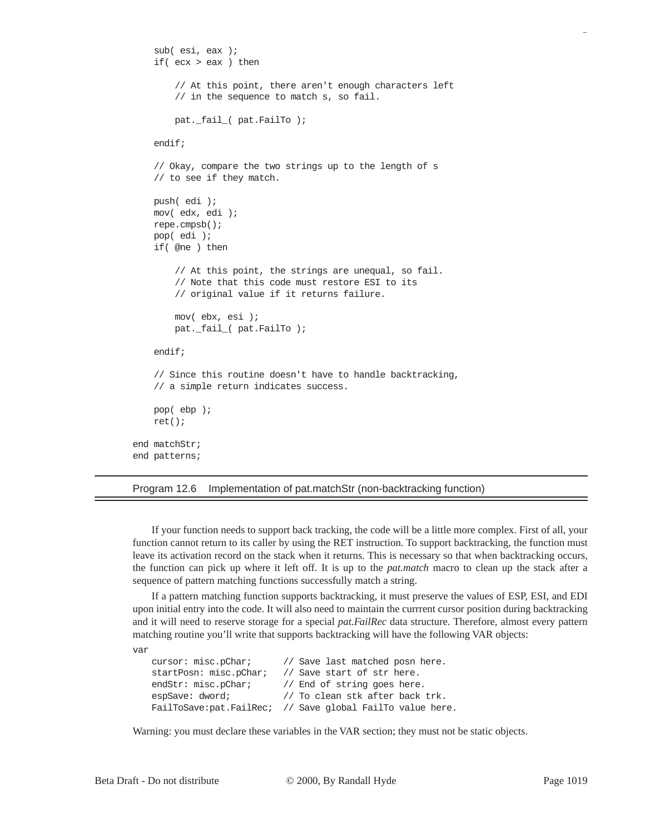```
 sub( esi, eax );
     if( ecx > eax ) then
         // At this point, there aren't enough characters left
         // in the sequence to match s, so fail.
         pat._fail_( pat.FailTo );
     endif;
     // Okay, compare the two strings up to the length of s
     // to see if they match.
     push( edi );
     mov( edx, edi );
     repe.cmpsb();
     pop( edi );
     if( @ne ) then
         // At this point, the strings are unequal, so fail.
         // Note that this code must restore ESI to its
         // original value if it returns failure.
         mov( ebx, esi );
         pat._fail_( pat.FailTo );
     endif;
     // Since this routine doesn't have to handle backtracking,
     // a simple return indicates success.
     pop( ebp );
     ret();
end matchStr;
end patterns;
```
#### Program 12.6 Implementation of pat.matchStr (non-backtracking function)

If your function needs to support back tracking, the code will be a little more complex. First of all, your function cannot return to its caller by using the RET instruction. To support backtracking, the function must leave its activation record on the stack when it returns. This is necessary so that when backtracking occurs, the function can pick up where it left off. It is up to the *pat.match* macro to clean up the stack after a sequence of pattern matching functions successfully match a string.

If a pattern matching function supports backtracking, it must preserve the values of ESP, ESI, and EDI upon initial entry into the code. It will also need to maintain the currrent cursor position during backtracking and it will need to reserve storage for a special *pat.FailRec* data structure. Therefore, almost every pattern matching routine you'll write that supports backtracking will have the following VAR objects:

```
var
```

| // Save last matched posn here.                           |
|-----------------------------------------------------------|
| // Save start of str here.                                |
| // End of string goes here.                               |
| // To clean stk after back trk.                           |
| FailToSave:pat.FailRec; // Save global FailTo value here. |
|                                                           |

Warning: you must declare these variables in the VAR section; they must not be static objects.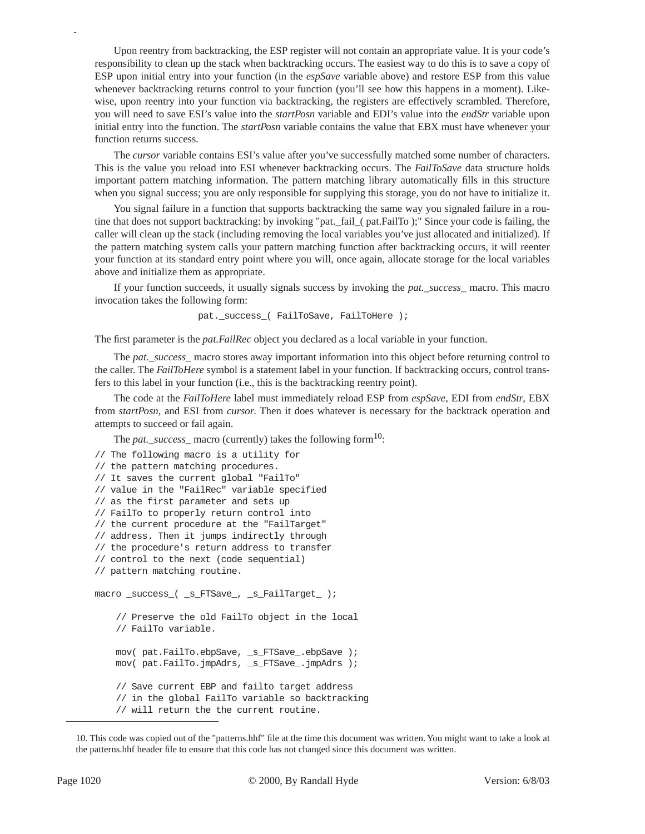Upon reentry from backtracking, the ESP register will not contain an appropriate value. It is your code's responsibility to clean up the stack when backtracking occurs. The easiest way to do this is to save a copy of ESP upon initial entry into your function (in the *espSave* variable above) and restore ESP from this value whenever backtracking returns control to your function (you'll see how this happens in a moment). Likewise, upon reentry into your function via backtracking, the registers are effectively scrambled. Therefore, you will need to save ESI's value into the *startPosn* variable and EDI's value into the *endStr* variable upon initial entry into the function. The *startPosn* variable contains the value that EBX must have whenever your function returns success.

The *cursor* variable contains ESI's value after you've successfully matched some number of characters. This is the value you reload into ESI whenever backtracking occurs. The *FailToSave* data structure holds important pattern matching information. The pattern matching library automatically fills in this structure when you signal success; you are only responsible for supplying this storage, you do not have to initialize it.

You signal failure in a function that supports backtracking the same way you signaled failure in a routine that does not support backtracking: by invoking "pat.\_fail\_( pat.FailTo );" Since your code is failing, the caller will clean up the stack (including removing the local variables you've just allocated and initialized). If the pattern matching system calls your pattern matching function after backtracking occurs, it will reenter your function at its standard entry point where you will, once again, allocate storage for the local variables above and initialize them as appropriate.

If your function succeeds, it usually signals success by invoking the *pat.\_success\_* macro. This macro invocation takes the following form:

```
pat._success_( FailToSave, FailToHere );
```
The first parameter is the *pat.FailRec* object you declared as a local variable in your function.

The *pat.\_success\_* macro stores away important information into this object before returning control to the caller. The *FailToHere* symbol is a statement label in your function. If backtracking occurs, control transfers to this label in your function (i.e., this is the backtracking reentry point).

The code at the *FailToHere* label must immediately reload ESP from *espSave*, EDI from *endStr*, EBX from *startPosn*, and ESI from *cursor*. Then it does whatever is necessary for the backtrack operation and attempts to succeed or fail again.

The *pat.\_success\_* macro (currently) takes the following form<sup>10</sup>:

```
// The following macro is a utility for
// the pattern matching procedures.
// It saves the current global "FailTo"
// value in the "FailRec" variable specified
// as the first parameter and sets up
// FailTo to properly return control into
// the current procedure at the "FailTarget"
// address. Then it jumps indirectly through
// the procedure's return address to transfer
// control to the next (code sequential)
// pattern matching routine.
macro _success_( _s_FTSave_, _s_FailTarget_ );
     // Preserve the old FailTo object in the local
     // FailTo variable.
     mov( pat.FailTo.ebpSave, _s_FTSave_.ebpSave );
     mov( pat.FailTo.jmpAdrs, _s_FTSave_.jmpAdrs );
     // Save current EBP and failto target address
     // in the global FailTo variable so backtracking
     // will return the the current routine.
```
<sup>10.</sup> This code was copied out of the "patterns.hhf" file at the time this document was written. You might want to take a look at the patterns.hhf header file to ensure that this code has not changed since this document was written.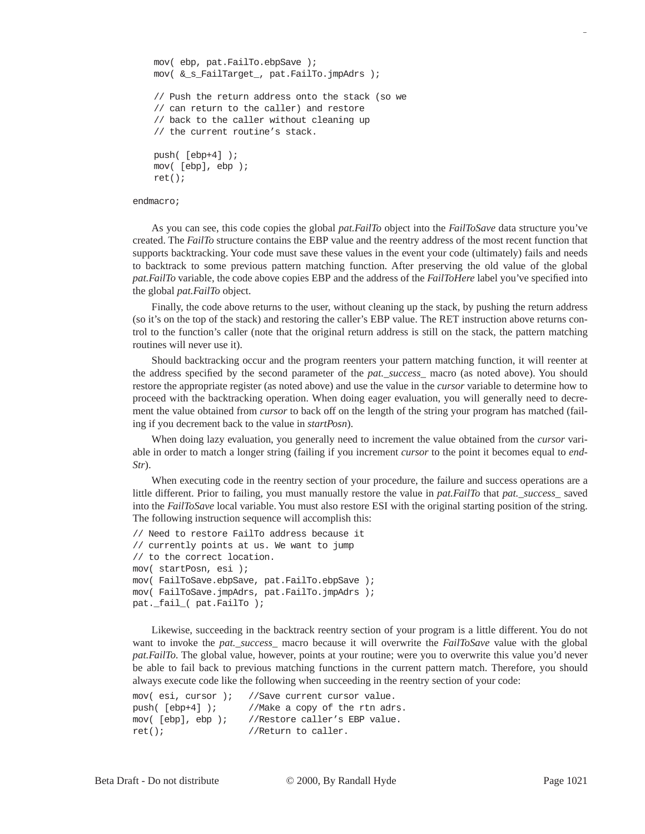```
 mov( ebp, pat.FailTo.ebpSave );
 mov( &_s_FailTarget_, pat.FailTo.jmpAdrs );
 // Push the return address onto the stack (so we
 // can return to the caller) and restore
 // back to the caller without cleaning up
 // the current routine's stack.
 push( [ebp+4] );
 mov( [ebp], ebp );
 ret();
```
#### endmacro;

As you can see, this code copies the global *pat.FailTo* object into the *FailToSave* data structure you've created. The *FailTo* structure contains the EBP value and the reentry address of the most recent function that supports backtracking. Your code must save these values in the event your code (ultimately) fails and needs to backtrack to some previous pattern matching function. After preserving the old value of the global *pat.FailTo* variable, the code above copies EBP and the address of the *FailToHere* label you've specified into the global *pat.FailTo* object.

Finally, the code above returns to the user, without cleaning up the stack, by pushing the return address (so it's on the top of the stack) and restoring the caller's EBP value. The RET instruction above returns control to the function's caller (note that the original return address is still on the stack, the pattern matching routines will never use it).

Should backtracking occur and the program reenters your pattern matching function, it will reenter at the address specified by the second parameter of the *pat.\_success\_* macro (as noted above). You should restore the appropriate register (as noted above) and use the value in the *cursor* variable to determine how to proceed with the backtracking operation. When doing eager evaluation, you will generally need to decrement the value obtained from *cursor* to back off on the length of the string your program has matched (failing if you decrement back to the value in *startPosn*).

When doing lazy evaluation, you generally need to increment the value obtained from the *cursor* variable in order to match a longer string (failing if you increment *cursor* to the point it becomes equal to *end-Str*).

When executing code in the reentry section of your procedure, the failure and success operations are a little different. Prior to failing, you must manually restore the value in *pat.FailTo* that *pat. success* saved into the *FailToSave* local variable. You must also restore ESI with the original starting position of the string. The following instruction sequence will accomplish this:

```
// Need to restore FailTo address because it
// currently points at us. We want to jump
// to the correct location.
mov( startPosn, esi );
mov( FailToSave.ebpSave, pat.FailTo.ebpSave );
mov( FailToSave.jmpAdrs, pat.FailTo.jmpAdrs );
pat._fail_( pat.FailTo );
```
Likewise, succeeding in the backtrack reentry section of your program is a little different. You do not want to invoke the *pat.\_success\_* macro because it will overwrite the *FailToSave* value with the global *pat.FailTo*. The global value, however, points at your routine; were you to overwrite this value you'd never be able to fail back to previous matching functions in the current pattern match. Therefore, you should always execute code like the following when succeeding in the reentry section of your code:

```
mov( esi, cursor ); //Save current cursor value.
push( [ebp+4] ); //Make a copy of the rtn adrs.
mov( [ebp], ebp ); //Restore caller's EBP value.
ret(); //Return to caller.
```